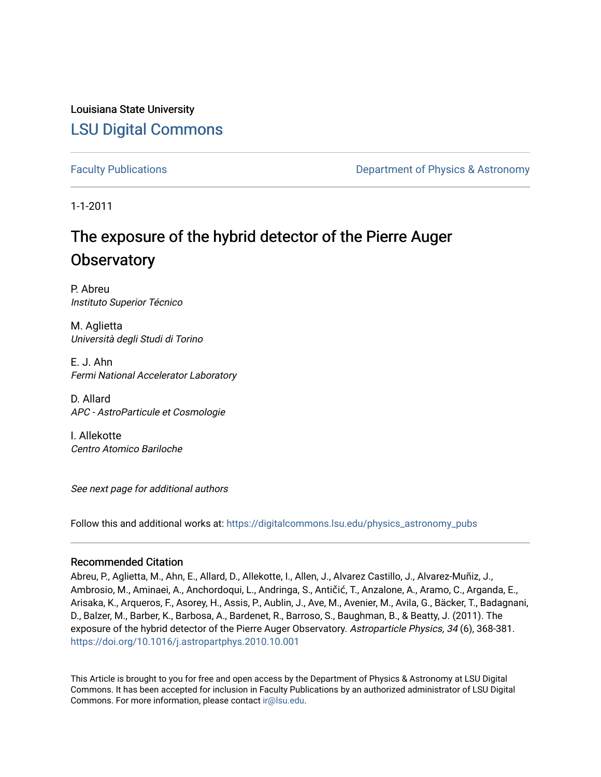Louisiana State University [LSU Digital Commons](https://digitalcommons.lsu.edu/)

[Faculty Publications](https://digitalcommons.lsu.edu/physics_astronomy_pubs) **Example 2** Constant Department of Physics & Astronomy

1-1-2011

# The exposure of the hybrid detector of the Pierre Auger **Observatory**

P. Abreu Instituto Superior Técnico

M. Aglietta Università degli Studi di Torino

E. J. Ahn Fermi National Accelerator Laboratory

D. Allard APC - AstroParticule et Cosmologie

I. Allekotte Centro Atomico Bariloche

See next page for additional authors

Follow this and additional works at: [https://digitalcommons.lsu.edu/physics\\_astronomy\\_pubs](https://digitalcommons.lsu.edu/physics_astronomy_pubs?utm_source=digitalcommons.lsu.edu%2Fphysics_astronomy_pubs%2F3279&utm_medium=PDF&utm_campaign=PDFCoverPages) 

## Recommended Citation

Abreu, P., Aglietta, M., Ahn, E., Allard, D., Allekotte, I., Allen, J., Alvarez Castillo, J., Alvarez-Muñiz, J., Ambrosio, M., Aminaei, A., Anchordoqui, L., Andringa, S., Antičić, T., Anzalone, A., Aramo, C., Arganda, E., Arisaka, K., Arqueros, F., Asorey, H., Assis, P., Aublin, J., Ave, M., Avenier, M., Avila, G., Bäcker, T., Badagnani, D., Balzer, M., Barber, K., Barbosa, A., Bardenet, R., Barroso, S., Baughman, B., & Beatty, J. (2011). The exposure of the hybrid detector of the Pierre Auger Observatory. Astroparticle Physics, 34 (6), 368-381. <https://doi.org/10.1016/j.astropartphys.2010.10.001>

This Article is brought to you for free and open access by the Department of Physics & Astronomy at LSU Digital Commons. It has been accepted for inclusion in Faculty Publications by an authorized administrator of LSU Digital Commons. For more information, please contact [ir@lsu.edu](mailto:ir@lsu.edu).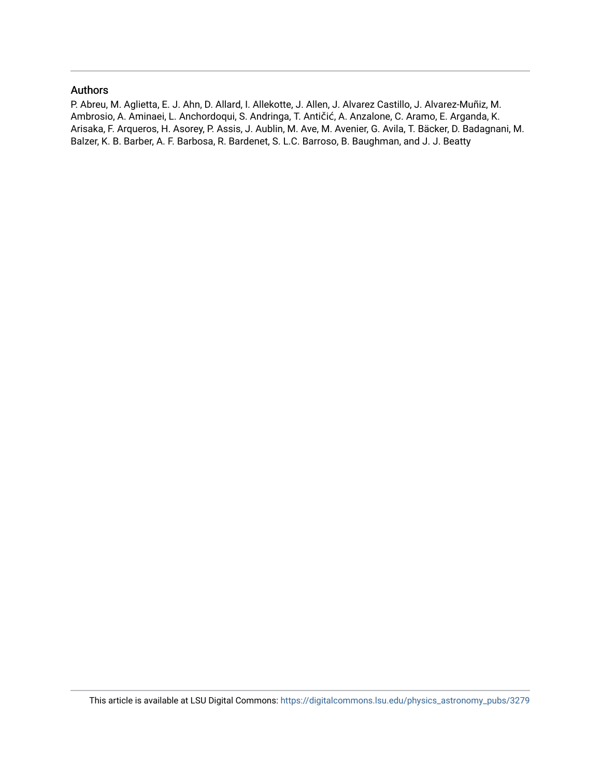## Authors

P. Abreu, M. Aglietta, E. J. Ahn, D. Allard, I. Allekotte, J. Allen, J. Alvarez Castillo, J. Alvarez-Muñiz, M. Ambrosio, A. Aminaei, L. Anchordoqui, S. Andringa, T. Antičić, A. Anzalone, C. Aramo, E. Arganda, K. Arisaka, F. Arqueros, H. Asorey, P. Assis, J. Aublin, M. Ave, M. Avenier, G. Avila, T. Bäcker, D. Badagnani, M. Balzer, K. B. Barber, A. F. Barbosa, R. Bardenet, S. L.C. Barroso, B. Baughman, and J. J. Beatty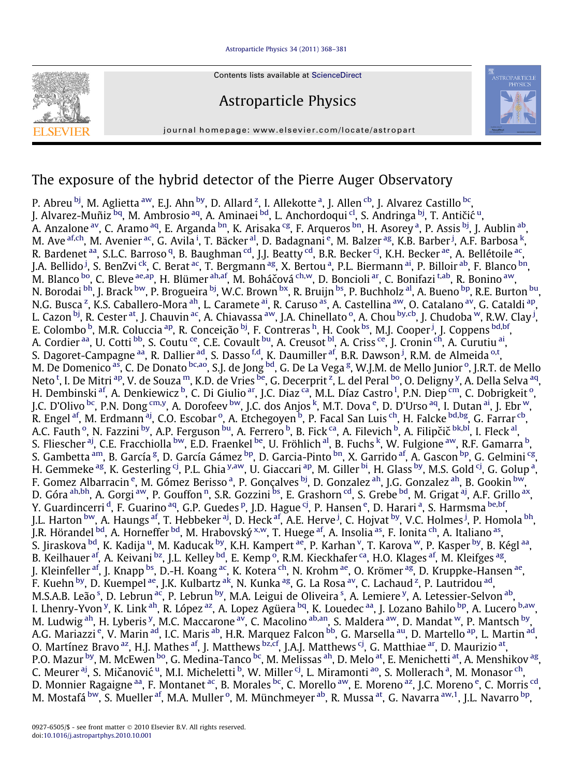#### [Astroparticle Physics 34 \(2011\) 368–381](http://dx.doi.org/10.1016/j.astropartphys.2010.10.001)



Contents lists available at [ScienceDirect](http://www.sciencedirect.com/science/journal/09276505)

Astroparticle Physics





## The exposure of the hybrid detector of the Pierre Auger Observatory

P. Abreu <sup>bj</sup>, M. Aglietta <sup>[aw](#page-4-0)</sup>, E.J. Ahn <sup>[by](#page-4-0)</sup>, D. Allard <sup>[z](#page-3-0)</sup>, I. Allekotte <sup>[a](#page-3-0)</sup>, J. Allen <sup>cb</sup>, J. Alvarez Castillo <sup>[bc](#page-4-0)</sup>, J. Alvarez-Muñiz <sup>[bq](#page-4-0)</sup>, M. Ambrosio <sup>[aq](#page-4-0)</s[u](#page-3-0)p>, A. Aminaei <sup>bd</sup>, L. Anchordoqui <sup>cl</sup>, S. Andringa <sup>bj</sup>, T. Antičić <sup>u</sup>, A. Anzalone <sup>av</sup>, C. Aramo <sup>[aq](#page-4-0)</sup>, E. Arganda <sup>[bn](#page-4-0)</sup>, K. Aris[a](#page-3-0)ka <sup>cg</sup>, F. Arqueros <sup>bn</sup>, H. Asorey <sup>a</sup>, P. Assis <sup>[bj](#page-4-0)</sup>, J. Aublin <sup>[ab](#page-3-0)</sup>, M. Ave <sup>[af](#page-3-0),ch</sup>, M. Aven[i](#page-3-0)[e](#page-3-0)r <sup>ac</sup>, G. Avila <sup>i</sup>, T. Bäcker <sup>al</sup>, D. Bad[ag](#page-3-0)nani <sup>e</sup>, M. Balzer <sup>ag</sup>, K.B. Barber <sup>[j](#page-3-0)</sup>, A.F. Barbosa <sup>[k](#page-3-0)</sup>, R. Bardenet <sup>[aa](#page-3-0)</sup>, S.L.C. Barroso <sup>[q](#page-3-0)</sup>, B. Baughman <sup>[cd](#page-4-0)</sup>, J.J. Beatty <sup>cd</sup>, B.R. Becker <sup>cj</sup>, K.H. Becker <sup>ae</sup>, A. Bellétoile <sup>ac</sup>, J.A. Bellido <sup>[j](#page-3-0)</sup>, S. BenZvi <sup>ck</sup>, C. Ber[a](#page-3-0)t <sup>ac</sup>, T. Bergmann <sup>ag</sup>, X. Bertou <sup>a</sup>, P.L. Biermann <sup>[ai](#page-3-0)</sup>, P. Billoir <sup>[ab](#page-3-0)</sup>, F. Blanco <sup>[bn](#page-4-0)</sup>, M. Blanco [bo,](#page-4-0) C. Bleve [ae](#page-3-0)[,ap](#page-4-0), H. Blümer [ah,af](#page-3-0), M. Boháčová [ch](#page-4-0)[,w](#page-3-0), D. Boncioli [ar](#page-4-0), C. Bonifazi [t,ab](#page-3-0), R. Bonino [aw,](#page-4-0) N. Borodai <sup>bh</sup>, J. Brack <sup>bw</sup>, P. Brogueira <sup>[bj](#page-4-0)</sup>, W.C. Brown <sup>[bx](#page-4-0)</sup>, R. Bruijn <sup>[bs](#page-4-0)</sup>, P. Buchholz <sup>[al](#page-4-0)</sup>, A. Bueno <sup>[bp](#page-4-0)</sup>, R.E. Burton <sup>[bu](#page-4-0)</sup>, N.G. Busca <sup>[z](#page-3-0)</sup>, K.S. Caballero-Mora <sup>[ah](#page-3-0)</sup>, L. Caramete <sup>ai</sup>, R. Caruso <sup>[as](#page-4-0)</sup>, A. Castellina <sup>[aw](#page-4-0)</sup>, O. Catalano <sup>av</sup>, G. Cataldi <sup>[ap](#page-4-0)</sup>, L. Cazon <sup>bj</sup>, R. Cester <sup>at</sup>, J. Chauvin <sup>ac</sup>, A. Chiavassa <sup>[aw](#page-4-0)</sup>, J.A. Chinellat[o](#page-3-0) <sup>o</sup>, A. Chou <sup>[by,cb](#page-4-0)</sup>, J. Chudoba <sup>[w](#page-3-0)</sup>, R.W. Clay <sup>[j](#page-3-0)</sup>, E. Colom[b](#page-3-0)o <sup>b</sup>, M.R. Coluccia <sup>ap</sup>, R. Conceição <sup>bj</sup>, F. Contreras <sup>[h](#page-3-0)</sup>, H. Cook <sup>bs</sup>, M.J. Cooper <sup>[j](#page-3-0)</sup>, J. Coppens <sup>bd,bf</sup>, A. Cordier [aa,](#page-3-0) U. Cotti <sup>bb</sup>, S. Coutu <sup>ce</sup>, C.E. Covault <sup>bu</sup>, A. Creusot  $\frac{b}{l}$ , A. Criss <sup>ce</sup>, J. Cronin <sup>ch</sup>, A. Curutiu [ai,](#page-3-0) S. Dagoret-Campagne <sup>[aa](#page-3-0)</sup>, R. Dallier <sup>ad</sup>, S. Dasso <sup>[f,d](#page-3-0)</sup>, K. Daumiller <sup>[af](#page-3-0)</sup>, B.R. Dawson <sup>[j](#page-3-0)</sup>, R.M. de Almeida <sup>[o,t](#page-3-0)</sup>, M. De Domenico <sup>as</sup>, C. De Donato <sup>bc,ao</sup>, S.J. de Jon[g](#page-3-0) <sup>bd</sup>, G. De La Vega <sup>g</sup>, W.J.M. de Mell[o](#page-3-0) Junior <sup>o</sup>, J.R.T. de Mello Ne[t](#page-3-0)o <sup>t</sup>, I. De Mitri <sup>ap</sup>, V. de Souza <sup>[m](#page-3-0)</sup>, K.D. de Vries <sup>[be](#page-4-0)</sup>, G. Decerprit <sup>[z](#page-3-0)</sup>, L. del Peral <sup>[bo](#page-4-0)</sup>, O. Delign[y](#page-3-0) <sup>y</sup>, A. Della Selva <sup>[aq](#page-4-0)</sup>, H. Dem[b](#page-3-0)inski <sup>af</sup>, A. Denkiewicz <sup>b</sup>, C. Di Giu[l](#page-3-0)io <sup>ar</sup>, J.C. Diaz <sup>ca</sup>, M.L. Díaz Castro <sup>l</sup>, P.N. Diep <sup>[cm](#page-4-0)</sup>, C. D[o](#page-3-0)brigkeit °, J.C. D'Olivo <sup>bc</sup>, P.N. Dong <sup>[cm,](#page-4-0)[y](#page-3-0)</sup>, A. Dorofeev <sup>bw</sup>, J.C. dos Anjos <sup>[k](#page-3-0)</sup>, M.T. Dova <sup>[e](#page-3-0)</sup>, D. D'Urso <sup>[aq](#page-4-0)</sup>, I. Dutan <sup>ai</sup>, J. Ebr <sup>[w](#page-3-0)</sup>, R. Engel <sup>af</sup>, M. Erdmann <sup>[aj](#page-3-0)</sup>, C.O. Esc[o](#page-3-0)[b](#page-3-0)ar °, A. Etchegoyen <sup>b</sup>, P. Facal San Luis <sup>ch</sup>, H. Falcke <sup>[bd,bg](#page-4-0)</sup>, G. Farrar <sup>[cb](#page-4-0)</sup>, A.C. Fauth <sup>[o](#page-3-0)</sup>, N. Fazzini <sup>[by](#page-4-0)</sup>, A.P. Ferguson <sup>[bu](#page-4-0)</sup>, A. Ferrero <sup>[b](#page-3-0)</sup>, B. Fick <sup>[ca](#page-4-0)</sup>, A. Filevich <sup>b</sup>, A. Filipčič <sup>[bk,bl](#page-4-0)</sup>, I. Fleck <sup>al</sup>, S. Fliescher <sup>aj</sup>, C.E. Fracchiolla <sup>[bw](#page-4-0)</sup>, E.D. Fraenkel <sup>be</sup>, U. Fröhlich <sup>[al](#page-4-0)</sup>, B. Fuchs <sup>[k](#page-3-0)</sup>, W. Fulgione <sup>[aw](#page-4-0)</sup>, R.F. Gamarra <sup>[b](#page-3-0)</sup>, S. G[am](#page-4-0)betta <sup>am</sup>, B. García <sup>[g](#page-3-0)</sup>, D. García Gámez <sup>bp</sup>, D. Garcia-Pinto <sup>bn</sup>, X. Garrido <sup>[af](#page-3-0)</sup>, A. Gascon <sup>[bp](#page-4-0)</sup>, G. Gelmini <sup>cg</sup>, H. Gemmeke <sup>[ag](#page-3-0)</sup>, K. Gesterling <sup>cj</sup>, P.L. Ghia <sup>[y,](#page-3-0)aw</sup>, U. Giaccari <sup>ap</sup>, M. Giller <sup>bi</sup>, H. Glass <sup>[by](#page-4-0)</sup>, M.S. Gold <sup>cj</sup>, G. Golup <sup>[a](#page-3-0)</sup>, F. Gom[e](#page-3-0)z Alb[a](#page-3-0)rracin <sup>e</sup>, M. Gómez Berisso ª, P. Gonçalves <sup>[bj](#page-4-0)</sup>, D. Gonzalez <sup>[ah](#page-3-0)</sup>, J.G. Gonzalez <sup>ah</sup>, B. Gookin <sup>bw</sup>, D. Góra <sup>[ah](#page-3-0)[,bh](#page-4-0)</sup>, A. Gorgi <sup>aw</sup>, P. Gouffo[n](#page-3-0) <sup>n</sup>, S.R. Gozzini <sup>[bs](#page-4-0)</sup>, E. Grashorn <sup>cd</sup>, S. Grebe <sup>[bd](#page-4-0)</sup>, M. Grigat <sup>[aj](#page-3-0)</sup>, A.F. Grillo <sup>ax</sup>, Y. Guar[d](#page-3-0)incerri <su[p](#page-3-0)>d</sup>, F. Guarino <sup>aq</sup>, G.P. Guedes <sup>p</sup>, J.D. Hague <sup>[cj](#page-4-0)</sup>, P. Hans[e](#page-3-0)n <sup>e</sup>, D. H[a](#page-3-0)rari <sup>a</sup>, S. Harmsma <sup>[be](#page-4-0),[bf](#page-4-0)</sup>, J.L. Harton <sup>[bw](#page-4-0)</sup>, A. Haungs <sup>[af](#page-3-0)</sup>, T. Hebbeker <sup>[aj](#page-3-0)</sup>, D. Heck <sup>af</sup>, A.E. Herve <sup>[j](#page-3-0)</sup>, C. Hojvat <sup>[by](#page-4-0)</sup>, V.C. Holmes <sup>j</sup>, P. Homola <sup>bh</sup>, J.R. Hörandel <sup>[bd](#page-4-0)</sup>, A. Horneffer <sup>bd</sup>, M. Hrabovský <sup>x,w</sup>, T. Huege <sup>[af](#page-3-0)</sup>, A. Insolia <sup>as</sup>, F. Ionita <sup>ch</sup>, A. Italiano <sup>as</sup>, S. Jiraskova <sup>[bd](#page-4-0)</s[u](#page-3-0)p>, K. Kadija <sup>u</sup>, M. Kaducak <sup>[by](#page-4-0)</sup>, K.H. Kampert <sup>ae</sup>, P. Karhan <sup>[v](#page-3-0)</sup>, T. Karova <sup>w</sup>, P. Kasper <sup>by</sup>, B. Kégl <sup>[aa](#page-3-0)</sup>, B. Keilhauer <sup>[af](#page-3-0)</sup>, A. Keivani <sup>bz</sup>, J.L. Kelley <sup>[bd](#page-4-0)</sup>, E. Kemp <sup>[o](#page-3-0)</sup>, R.M. Kieckhafer <sup>ca</sup>, H.O. Kl[ag](#page-3-0)es <sup>af</sup>, M. Kleifges <sup>ag</sup>, J. Kleinfeller <sup>af</sup>, J. Knapp <sup>[bs](#page-4-0)</sup>, D.-H. Koang <sup>ac</sup>, K. Kotera <sup>ch</sup>, N. Krohm <sup>ae</sup>, O. Krömer <sup>[ag](#page-3-0)</sup>, D. Kruppke-Hansen <sup>ae</sup>, F. Kuehn <sup>[by](#page-4-0)</sup>, D. Kuempel <sup>[ae](#page-3-0)</sup>, J.K. Kulbartz <sup>ak</sup>, N. Kunka <sup>ag</sup>, G. La Rosa <sup>[av](#page-4-0)</sup>, C. Lachaud <sup>[z](#page-3-0)</sup>, P. Lautridou <sup>ad</sup>, M.S.A.B. Leão <[s](#page-3-0)up>s</sup>, D. Lebrun <sup>ac</sup>, P. Lebrun <sup>[by](#page-4-0)</sup>, M.A. Leigui de Oliveira <sup>s</sup>, A. Lemiere <sup>[y](#page-3-0)</sup>, A. Letessier-Selvon <sup>[ab](#page-3-0)</sup>, I. Lhenr[y](#page-3-0)-Yvon <sup>y</sup>, K. Link <sup>ah</sup>, R. López <sup>[az](#page-4-0)</sup>, A. Lopez Agüera <sup>[bq](#page-4-0)</sup>, K. Louedec <sup>aa</sup>, J. Lozano Bahilo <sup>[b](#page-3-0)p</sup>, A. Lucero <sup>b,aw</sup>, M. Ludwig <sup>[ah](#page-3-0)</sup>, H. L[y](#page-3-0)beris <sup>y</sup>, M.C. Maccarone <sup>[av](#page-4-0)</sup>, C. Macolino <sup>[ab](#page-3-0),an</sup>, S. Maldera <sup>[aw](#page-4-0)</sup>, D. Mandat <sup>w</sup>, P. Mantsch <sup>[by](#page-4-0)</sup>, A.G. Mariazzi <sup>[e](#page-3-0)</sup>, V. Marin <sup>[ad](#page-3-0)</sup>, I.C. Maris <sup>ab</sup>, H.R. Marquez Falcon <sup>[bb](#page-4-0)</sup>, G. Marsella <sup>[au](#page-4-0)</sup>, D. Martello <sup>ap</sup>, L. Martin <sup>ad</sup>, O. Martínez Bravo <sup>az</sup>, H.J. Mathes <sup>af</sup>, J. Matthews <sup>bz,cf</sup>, J.A.J. Matthews <sup>[cj](#page-4-0)</sup>, G. Matthiae <sup>ar</sup>, D. Maurizio <sup>at</sup>, P.O. Mazur [by](#page-4-0), M. McEwen [bo](#page-4-0), G. Medina-Tanco [bc](#page-4-0), M. Melissas [ah,](#page-3-0) D. Melo [at,](#page-4-0) E. Menichetti [at](#page-4-0), A. Menshikov [ag](#page-3-0), C. Meurer <sup>[aj](#page-3-0)</s[u](#page-3-0)p>, S. Mičanović <sup>u</sup>, M.I. Micheletti <sup>[b](#page-3-0)</sup>, W. Miller <sup>[cj](#page-4-0)</sup>, L. Miramonti <sup>[ao](#page-4-0)</sup>, S. Moller[a](#page-3-0)[ch](#page-4-0) <sup>a</sup>, M. Monasor <sup>ch</sup>, D. Monnier Ragaigne <sup>[aa](#page-3-0)</sup>, F. Montanet <sup>ac</sup>, B. Morales <sup>[bc](#page-4-0)</sup>, C. Morello <sup>[aw](#page-4-0)</sup>, E. Mor[e](#page-3-0)no <sup>az</sup>, J.C. Moreno <sup>e</sup>, C. Morris <sup>[cd](#page-4-0)</sup>, M. M[o](#page-3-0)stafá <sup>bw</sup>, S. Mueller <sup>af</sup>, M.A. Muller <sup>o</sup>, M. Münchmeyer <sup>[ab](#page-3-0)</sup>, R. Mussa <sup>at</sup>, G. Navarra <sup>[aw,1](#page-4-0)</sup>, J.L. Navarro <sup>[bp](#page-4-0)</sup>,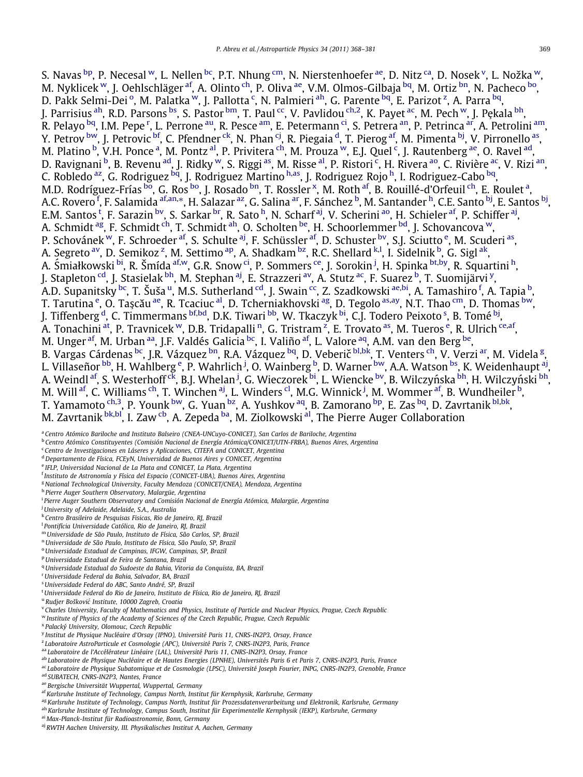<span id="page-3-0"></span>S. Navas <sup>[bp](#page-4-0)</sup>, P. Necesal <sup>w</sup>, L. Nellen <sup>[bc](#page-4-0)</sup>, P.T. Nhung <sup>[cm](#page-4-0)</sup>, N. Nierstenhoefer <sup>ae</sup>, D. Nitz <sup>ca</sup>, D. Nosek <sup>v</sup>, L. Nožka <sup>w</sup>, M. Nyklicek<sup>w</sup>, J. Oehlschläger af, A. Olinto [ch,](#page-4-0) P. Oliva ae, V.M. Olmos-Gilbaja <sup>bq</sup>, M. Ortiz <sup>[bn](#page-4-0)</sup>, N. Pacheco <sup>[bo](#page-4-0)</sup>, D. Pakk Selmi-Dei <sup>o</sup>, M. Palatka <sup>w</sup>, J. Pallotta <sup>c</sup>, N. Palmieri <sup>ah</sup>, G. Parente <sup>[bq](#page-4-0)</sup>, E. Parizot <sup>z</sup>, A. Parra <sup>bq</sup>, J. Parrisius <sup>ah</sup>, R.D. Parsons <sup>bs</sup>, S. Pastor <sup>[bm](#page-4-0)</sup>, T. Paul <sup>cc</sup>, V. Pavlidou <sup>[ch](#page-4-0),[2](#page-4-0)</sup>, K. Payet <sup>ac</sup>, M. Pech <sup>w</sup>, J. Pekala <sup>[bh](#page-4-0)</sup>, R. Pelayo <sup>bq</sup>, I.M. Pepe <sup>r</sup>, L. Perrone <sup>[au](#page-4-0)</sup>, R. Pesce <sup>[am](#page-4-0)</sup>, E. Peterm[an](#page-4-0)n <sup>ci</sup>, S. Petrera <sup>an</sup>, P. Petrinca <sup>ar</sup>, A. Petrolini <sup>am</sup>, Y. Petrov <sup>bw</sup>, J. Petrovic <sup>[bf](#page-4-0)</sup>, C. Pfendner <sup>ck</sup>, N. Phan <sup>[cj](#page-4-0)</sup>, R. Piegaia <sup>d</sup>, T. Pierog <sup>af</sup>, M. Pimenta <sup>bj</sup>, V. Pirronello <sup>[as](#page-4-0)</sup>, M. Platino <sup>b</sup>, V.H. Ponce <sup>a</sup>, M. Pontz <sup>al</sup>, P. Privitera <sup>ch</sup>, M. Prouza <sup>w</sup>, E.J. Quel <sup>c</sup>, J. Rautenberg <sup>ae</sup>, O. Ravel <sup>ad</sup>, D. Ravignani <sup>b</sup>, B. Revenu <sup>ad</sup>, J. Ridky <sup>w</sup>, S. Riggi <sup>[as](#page-4-0)</sup>, M. Risse <sup>al</sup>, P. Ristori <sup>c</sup>, H. Rivera <sup>ao</sup>, C. Rivière <sup>ac</sup>, V. Rizi <sup>an</sup>, C. Robledo <sup>[az](#page-4-0)</sup>, G. Rodriguez <sup>bq</sup>, J. Rodriguez Martino h[,as,](#page-4-0) J. Rodriguez Rojo h, I. Rodriguez-Cabo <sup>[bq](#page-4-0)</sup>, M.D. Rodríguez-Frías <sup>[bo](#page-4-0)</sup>, G. Ros <sup>bo</sup>, J. Rosado <sup>bn</sup>, T. Rossler <sup>x</sup>, M. Roth <sup>af</sup>, B. Rouillé-d'Orfeuil <sup>ch</sup>, E. Roulet <sup>a</sup>, A.C. Rovero <sup>f</sup>, F. Salamida <sup>af,[an,](#page-4-0)</sup>\*, H. Salazar <sup>az</sup>, G. Salina <sup>ar</sup>, F. Sánchez <sup>b</sup>, M. Santander <sup>h</sup>, C.E. Santo <sup>[bj](#page-4-0)</sup>, E. Santos <sup>bj</sup>, E.M. Santos <sup>t</sup>, F. Sarazin <sup>[bv](#page-4-0)</sup>, S. Sarkar <sup>[br](#page-4-0)</sup>, R. Sato <sup>h</sup>, N. Scharf <sup>aj</sup>, V. Scherini <sup>[ao](#page-4-0)</sup>, H. Schieler <sup>af</sup>, P. Schiffer <sup>aj</sup>, A. Schmidt ag, F. Schmidt [ch,](#page-4-0) T. Schmidt ah, O. Scholten [be](#page-4-0), H. Schoorlemmer [bd,](#page-4-0) J. Schovancova W, P. Schovánek <sup>w</sup>, F. Schroeder <sup>af</sup>, S. Schulte <sup>aj</sup>, F. Schüssler <sup>af</sup>, D. Schuster <sup>[bv](#page-4-0)</sup>, S.J. Sciutto <sup>e</sup>, M. Scuderi <sup>as</sup>, A. Segreto <sup>[av](#page-4-0)</sup>, D. Semikoz <sup>z</sup>, M. Settimo <sup>ap</sup>, A. Shadkam <sup>bz</sup>, R.C. Shellard <sup>k, l</sup>, I. Sidelnik <sup>b</sup>, G. Sigl <sup>[ak](#page-4-0)</sup>, A. Śmiałkowski <sup>bi</sup>, R. Šmída <sup>af,w</sup>, G.R. Snow <sup>[ci](#page-4-0)</sup>, P. Sommers <sup>[ce](#page-4-0)</sup>, J. Sorokin <sup>j</sup>, H. Spinka <sup>[bt,by](#page-4-0)</sup>, R. Squartini <sup>h</sup>, J. Stapleton <sup>[cd](#page-4-0)</sup>, J. Stasielak <sup>bh</sup>, M. Stephan <sup>aj</sup>, E. Strazzeri <sup>[av](#page-4-0)</sup>, A. Stutz <sup>ac</sup>, F. Suarez <sup>b</sup>, T. Suomijärvi <sup>y</sup>, A.D. Supanitsky <sup>[bc](#page-4-0)</sup>, T. Šuša <sup>u</sup>, M.S. Sutherland <sup>[cd](#page-4-0)</sup>, J. Swain <sup>cc</sup>, Z. Szadkowski <sup>ae[,bi](#page-4-0)</sup>, A. Tamashiro <sup>f</sup>, A. Tapia <sup>b</sup>, T. Tarutina <sup>e</sup>, O. Taşcău <sup>ae</sup>, R. Tcaciuc <sup>[al](#page-4-0)</sup>, D. Tcherniakhovski <sup>ag</sup>, D. Tegolo <sup>[as](#page-4-0),[ay](#page-4-0)</sup>, N.T. Thao <sup>[cm](#page-4-0)</sup>, D. Thomas <sup>[bw](#page-4-0)</sup>, J. Tiffenberg <sup>d</sup>, C. Timmermans <sup>[bf,bd](#page-4-0)</sup>, D.K. Tiwari <sup>bb</sup>, W. Tkaczyk <sup>bi</sup>, C.J. Todero Peixoto <sup>s</sup>, B. Tomé <sup>[bj](#page-4-0)</sup>, A. Tonachini <sup>[at](#page-4-0)</sup>, P. Travnicek <sup>w</sup>, D.B. Tridapalli <sup>n</sup>, G. Tristram <sup>z</sup>, E. Trovato <sup>[as](#page-4-0)</sup>, M. Tueros <sup>e</sup>, R. Ulrich <sup>[ce,](#page-4-0)af</sup>, M. Unger <sup>af</sup>, M. Urban <sup>aa</sup>, J.F. Valdés Galicia <sup>bc</sup>, I. Valiño <sup>af</sup>, L. Valore <sup>aq</sup>, A.M. van den Berg <sup>[be](#page-4-0)</sup>, B. Vargas Cárdenas <sup>bc</sup>, J.R. Vázquez <sup>bn</sup>, R.A. Vázquez <sup>bq</sup>, D. Veberič <sup>bl,bk</sup>, T. Venters <sup>[ch](#page-4-0)</sup>, V. Verzi <sup>ar</sup>, M. Videla <sup>g</sup>, L. Villaseñor <sup>[bb](#page-4-0)</sup>, H. Wahlberg <sup>e</sup>, P. Wahrlich <sup>j</sup>, O. Wainberg <sup>b</sup>, D. Warner <sup>[bw](#page-4-0)</sup>, A.A. Watson <sup>bs</sup>, K. Weidenhaupt <sup>aj</sup>, A. Weindl <sup>af</sup>, S. Westerhoff <sup>[ck](#page-4-0)</sup>, B.J. Whelan <sup>j</sup>, G. Wieczorek <sup>[bi](#page-4-0)</sup>, L. Wiencke <sup>[bv](#page-4-0)</sup>, B. Wilczyńska <sup>[bh](#page-4-0)</sup>, H. Wilczyński <sup>bh</sup>, M. Will <sup>af</sup>, C. Williams <sup>[ch](#page-4-0)</sup>, T. Winchen <sup>aj</sup>, L. Winders <sup>cl</sup>, M.G. Winnick <sup>j</sup>, M. Wommer <sup>af</sup>, B. Wundheiler <sup>b</sup>, T. Yamamoto <sup>[ch,3](#page-4-0)</sup>, P. Younk <sup>[bw](#page-4-0)</sup>, G. Yuan <sup>bz</sup>, A. Yushkov <sup>aq</sup>, B. Zamorano <sup>[bp](#page-4-0)</sup>, E. Zas <sup>bq</sup>, D. Zavrtanik <sup>[bl,bk](#page-4-0)</sup>, M. Zavrtanik [bk,bl](#page-4-0), I. Zaw [cb](#page-4-0), A. Zepeda [ba,](#page-4-0) M. Ziolkowski [al,](#page-4-0) The Pierre Auger Collaboration

<sup>a</sup> Centro Atómico Bariloche and Instituto Balseiro (CNEA-UNCuyo-CONICET), San Carlos de Bariloche, Argentina

<sup>b</sup> Centro Atómico Constituyentes (Comisión Nacional de Energía Atómica/CONICET/UTN-FRBA), Buenos Aires, Argentina

<sup>c</sup> Centro de Investigaciones en Láseres y Aplicaciones, CITEFA and CONICET, Argentina

<sup>d</sup> Departamento de Física, FCEyN, Universidad de Buenos Aires y CONICET, Argentina

<sup>e</sup> IFLP, Universidad Nacional de La Plata and CONICET, La Plata, Argentina

<sup>f</sup> Instituto de Astronomía y Física del Espacio (CONICET-UBA), Buenos Aires, Argentina

<sup>g</sup> National Technological University, Faculty Mendoza (CONICET/CNEA), Mendoza, Argentina

<sup>h</sup> Pierre Auger Southern Observatory, Malargüe, Argentina

i Pierre Auger Southern Observatory and Comisión Nacional de Energía Atómica, Malargüe, Argentina

<sup>j</sup> University of Adelaide, Adelaide, S.A., Australia

<sup>k</sup> Centro Brasileiro de Pesquisas Fisicas, Rio de Janeiro, RJ, Brazil

<sup>l</sup> Pontifícia Universidade Católica, Rio de Janeiro, RJ, Brazil

<sup>m</sup> Universidade de São Paulo, Instituto de Física, São Carlos, SP, Brazil

<sup>n</sup>Universidade de São Paulo, Instituto de Física, São Paulo, SP, Brazil

<sup>o</sup> Universidade Estadual de Campinas, IFGW, Campinas, SP, Brazil

<sup>p</sup>Universidade Estadual de Feira de Santana, Brazil

<sup>q</sup>Universidade Estadual do Sudoeste da Bahia, Vitoria da Conquista, BA, Brazil

r Universidade Federal da Bahia, Salvador, BA, Brazil <sup>s</sup>Universidade Federal do ABC, Santo André, SP, Brazil

<sup>t</sup> Universidade Federal do Rio de Janeiro, Instituto de Física, Rio de Janeiro, RJ, Brazil

<sup>u</sup> Rudjer Bošković Institute, 10000 Zagreb, Croatia

<sup>v</sup> Charles University, Faculty of Mathematics and Physics, Institute of Particle and Nuclear Physics, Prague, Czech Republic

<sup>w</sup> Institute of Physics of the Academy of Sciences of the Czech Republic, Prague, Czech Republic

<sup>x</sup> Palacky´ University, Olomouc, Czech Republic

<sup>y</sup> Institut de Physique Nucléaire d'Orsay (IPNO), Université Paris 11, CNRS-IN2P3, Orsay, France

<sup>z</sup> Laboratoire AstroParticule et Cosmologie (APC), Université Paris 7, CNRS-IN2P3, Paris, France

aa Laboratoire de l'Accélérateur Linéaire (LAL), Université Paris 11, CNRS-IN2P3, Orsay, France

ab Laboratoire de Physique Nucléaire et de Hautes Energies (LPNHE), Universités Paris 6 et Paris 7, CNRS-IN2P3, Paris, France

ac Laboratoire de Physique Subatomique et de Cosmologie (LPSC), Université Joseph Fourier, INPG, CNRS-IN2P3, Grenoble, France ad SUBATECH, CNRS-IN2P3, Nantes, France

ae Bergische Universität Wuppertal, Wuppertal, Germany

af Karlsruhe Institute of Technology, Campus North, Institut für Kernphysik, Karlsruhe, Germany

ag Karlsruhe Institute of Technology, Campus North, Institut für Prozessdatenverarbeitung und Elektronik, Karlsruhe, Germany

ah Karlsruhe Institute of Technology, Campus South, Institut für Experimentelle Kernphysik (IEKP), Karlsruhe, Germany

ai Max-Planck-Institut für Radioastronomie, Bonn, Germany

aj RWTH Aachen University, III. Physikalisches Institut A, Aachen, Germany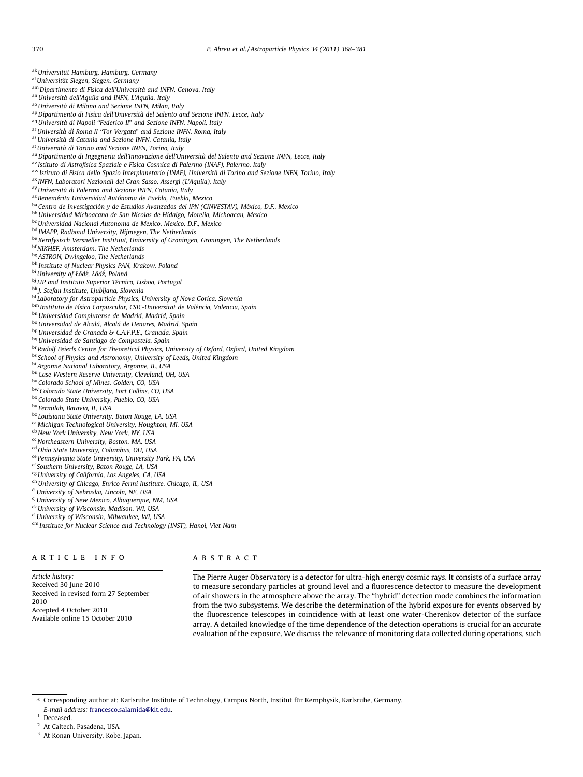<span id="page-4-0"></span>

| al Universität Siegen, Siegen, Germany<br>am Dipartimento di Fisica dell'Università and INFN, Genova, Italy<br>an Università dell'Aquila and INFN, L'Aquila, Italy |
|--------------------------------------------------------------------------------------------------------------------------------------------------------------------|
|                                                                                                                                                                    |
|                                                                                                                                                                    |
| ao Università di Milano and Sezione INFN, Milan, Italy                                                                                                             |
| ap Dipartimento di Fisica dell'Università del Salento and Sezione INFN, Lecce, Italy                                                                               |
| <sup>aq</sup> Università di Napoli "Federico II" and Sezione INFN, Napoli, Italy                                                                                   |
| ar Università di Roma II "Tor Vergata" and Sezione INFN, Roma, Italy                                                                                               |
| as Università di Catania and Sezione INFN, Catania, Italy                                                                                                          |
| <sup>at</sup> Università di Torino and Sezione INFN, Torino, Italy                                                                                                 |
| au Dipartimento di Ingegneria dell'Innovazione dell'Università del Salento and Sezione INFN, Lecce, Italy                                                          |
| av Istituto di Astrofisica Spaziale e Fisica Cosmica di Palermo (INAF), Palermo, Italy                                                                             |
| aw Istituto di Fisica dello Spazio Interplanetario (INAF), Università di Torino and Sezione INFN, Torino, Italy                                                    |
| ax INFN, Laboratori Nazionali del Gran Sasso, Assergi (L'Aquila), Italy                                                                                            |
| <sup>ay</sup> Università di Palermo and Sezione INFN, Catania, Italy                                                                                               |
| az Benemérita Universidad Autónoma de Puebla, Puebla, Mexico                                                                                                       |
| <sup>ba</sup> Centro de Investigación y de Estudios Avanzados del IPN (CINVESTAV), México, D.F., Mexico                                                            |
| bb Universidad Michoacana de San Nicolas de Hidalgo, Morelia, Michoacan, Mexico                                                                                    |
| bc Universidad Nacional Autonoma de Mexico, Mexico, D.F., Mexico                                                                                                   |
| bd IMAPP, Radboud University, Nijmegen, The Netherlands<br>be Kernfysisch Versneller Instituut, University of Groningen, Groningen, The Netherlands                |
| bf NIKHEF, Amsterdam, The Netherlands                                                                                                                              |
| bg ASTRON, Dwingeloo, The Netherlands                                                                                                                              |
| <sup>bh</sup> Institute of Nuclear Physics PAN, Krakow, Poland                                                                                                     |
| <sup>bi</sup> University of Łódź, Łódź, Poland                                                                                                                     |
| <sup>bj</sup> LIP and Instituto Superior Técnico, Lisboa, Portugal                                                                                                 |
| <sup>bk</sup> J. Stefan Institute, Ljubljana, Slovenia                                                                                                             |
| bl Laboratory for Astroparticle Physics, University of Nova Gorica, Slovenia                                                                                       |
| bm Instituto de Física Corpuscular, CSIC-Universitat de València, Valencia, Spain                                                                                  |
| <sup>bn</sup> Universidad Complutense de Madrid, Madrid, Spain                                                                                                     |
| bo Universidad de Alcalá, Alcalá de Henares, Madrid, Spain                                                                                                         |
| bp Universidad de Granada & C.A.F.P.E., Granada, Spain                                                                                                             |
| bq Universidad de Santiago de Compostela, Spain                                                                                                                    |
| br Rudolf Peierls Centre for Theoretical Physics, University of Oxford, Oxford, United Kingdom                                                                     |
| bs School of Physics and Astronomy, University of Leeds, United Kingdom<br><sup>bt</sup> Argonne National Laboratory, Argonne, IL, USA                             |
| bu Case Western Reserve University, Cleveland, OH, USA                                                                                                             |
| bv Colorado School of Mines, Golden, CO, USA                                                                                                                       |
| bw Colorado State University, Fort Collins, CO, USA                                                                                                                |
| bx Colorado State University, Pueblo, CO, USA                                                                                                                      |
| by Fermilab, Batavia, IL, USA                                                                                                                                      |
| bz Louisiana State University, Baton Rouge, LA, USA                                                                                                                |
| ca Michigan Technological University, Houghton, MI, USA                                                                                                            |
| <sup>cb</sup> New York University, New York, NY, USA                                                                                                               |
| <sup>cc</sup> Northeastern University, Boston, MA, USA                                                                                                             |
| <sup>cd</sup> Ohio State University, Columbus, OH, USA                                                                                                             |
| ce Pennsylvania State University, University Park, PA, USA                                                                                                         |
| <sup>cf</sup> Southern University, Baton Rouge, LA, USA                                                                                                            |
| <sup>cg</sup> University of California, Los Angeles, CA, USA                                                                                                       |
| ch University of Chicago, Enrico Fermi Institute, Chicago, IL, USA<br><sup>ci</sup> University of Nebraska, Lincoln, NE, USA                                       |
| <sup>cj</sup> University of New Mexico, Albuquerque, NM, USA                                                                                                       |
| <sup>ck</sup> University of Wisconsin, Madison, WI, USA                                                                                                            |
| <sup>cl</sup> University of Wisconsin, Milwaukee, WI, USA                                                                                                          |
| cm Institute for Nuclear Science and Technology (INST), Hanoi, Viet Nam                                                                                            |
|                                                                                                                                                                    |

## article info

Article history: Received 30 June 2010 Received in revised form 27 September 2010 Accepted 4 October 2010 Available online 15 October 2010

## ABSTRACT

The Pierre Auger Observatory is a detector for ultra-high energy cosmic rays. It consists of a surface array to measure secondary particles at ground level and a fluorescence detector to measure the development of air showers in the atmosphere above the array. The ''hybrid" detection mode combines the information from the two subsystems. We describe the determination of the hybrid exposure for events observed by the fluorescence telescopes in coincidence with at least one water-Cherenkov detector of the surface array. A detailed knowledge of the time dependence of the detection operations is crucial for an accurate evaluation of the exposure. We discuss the relevance of monitoring data collected during operations, such

E-mail address: [francesco.salamida@kit.edu.](mailto:<xml_chg_old>francesco.salamida@ki.edu</xml_chg_old><xml_chg_new>francesco.salamida@kit.edu</xml_chg_new>)

<sup>⇑</sup> Corresponding author at: Karlsruhe Institute of Technology, Campus North, Institut für Kernphysik, Karlsruhe, Germany.

<sup>&</sup>lt;sup>1</sup> Deceased.

<sup>2</sup> At Caltech, Pasadena, USA.

<sup>&</sup>lt;sup>3</sup> At Konan University, Kobe, Japan.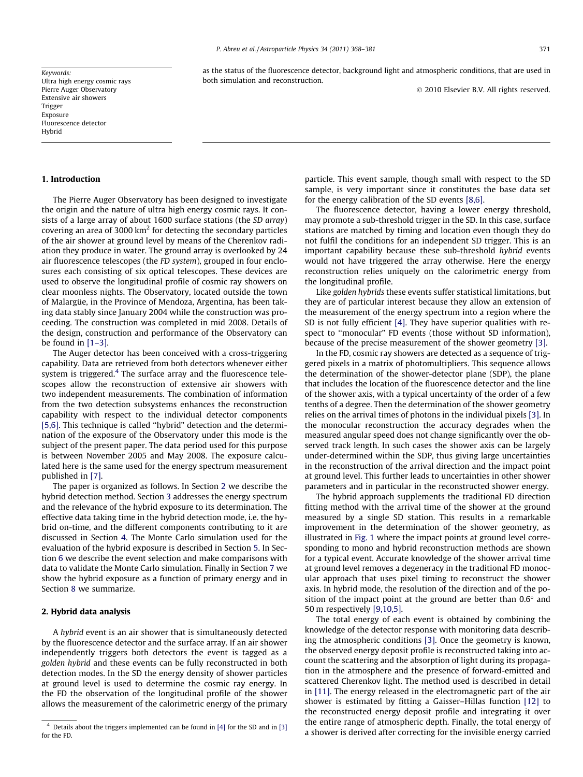Keywords: Ultra high energy cosmic rays Pierre Auger Observatory Extensive air showers Trigger Exposure Fluorescence detector Hybrid

as the status of the fluorescence detector, background light and atmospheric conditions, that are used in both simulation and reconstruction.

© 2010 Elsevier B.V. All rights reserved.

## 1. Introduction

The Pierre Auger Observatory has been designed to investigate the origin and the nature of ultra high energy cosmic rays. It consists of a large array of about 1600 surface stations (the SD array) covering an area of 3000  $km^2$  for detecting the secondary particles of the air shower at ground level by means of the Cherenkov radiation they produce in water. The ground array is overlooked by 24 air fluorescence telescopes (the FD system), grouped in four enclosures each consisting of six optical telescopes. These devices are used to observe the longitudinal profile of cosmic ray showers on clear moonless nights. The Observatory, located outside the town of Malargüe, in the Province of Mendoza, Argentina, has been taking data stably since January 2004 while the construction was proceeding. The construction was completed in mid 2008. Details of the design, construction and performance of the Observatory can be found in  $[1-3]$ .

The Auger detector has been conceived with a cross-triggering capability. Data are retrieved from both detectors whenever either system is triggered.<sup>4</sup> The surface array and the fluorescence telescopes allow the reconstruction of extensive air showers with two independent measurements. The combination of information from the two detection subsystems enhances the reconstruction capability with respect to the individual detector components [\[5,6\].](#page-14-0) This technique is called "hybrid" detection and the determination of the exposure of the Observatory under this mode is the subject of the present paper. The data period used for this purpose is between November 2005 and May 2008. The exposure calculated here is the same used for the energy spectrum measurement published in [\[7\]](#page-14-0).

The paper is organized as follows. In Section 2 we describe the hybrid detection method. Section [3](#page-6-0) addresses the energy spectrum and the relevance of the hybrid exposure to its determination. The effective data taking time in the hybrid detection mode, i.e. the hybrid on-time, and the different components contributing to it are discussed in Section [4.](#page-7-0) The Monte Carlo simulation used for the evaluation of the hybrid exposure is described in Section [5.](#page-8-0) In Section [6](#page-10-0) we describe the event selection and make comparisons with data to validate the Monte Carlo simulation. Finally in Section [7](#page-12-0) we show the hybrid exposure as a function of primary energy and in Section [8](#page-13-0) we summarize.

#### 2. Hybrid data analysis

A hybrid event is an air shower that is simultaneously detected by the fluorescence detector and the surface array. If an air shower independently triggers both detectors the event is tagged as a golden hybrid and these events can be fully reconstructed in both detection modes. In the SD the energy density of shower particles at ground level is used to determine the cosmic ray energy. In the FD the observation of the longitudinal profile of the shower allows the measurement of the calorimetric energy of the primary particle. This event sample, though small with respect to the SD sample, is very important since it constitutes the base data set for the energy calibration of the SD events [\[8,6\]](#page-14-0).

The fluorescence detector, having a lower energy threshold, may promote a sub-threshold trigger in the SD. In this case, surface stations are matched by timing and location even though they do not fulfil the conditions for an independent SD trigger. This is an important capability because these sub-threshold hybrid events would not have triggered the array otherwise. Here the energy reconstruction relies uniquely on the calorimetric energy from the longitudinal profile.

Like golden hybrids these events suffer statistical limitations, but they are of particular interest because they allow an extension of the measurement of the energy spectrum into a region where the SD is not fully efficient [\[4\]](#page-14-0). They have superior qualities with respect to "monocular" FD events (those without SD information), because of the precise measurement of the shower geometry [\[3\].](#page-14-0)

In the FD, cosmic ray showers are detected as a sequence of triggered pixels in a matrix of photomultipliers. This sequence allows the determination of the shower-detector plane (SDP), the plane that includes the location of the fluorescence detector and the line of the shower axis, with a typical uncertainty of the order of a few tenths of a degree. Then the determination of the shower geometry relies on the arrival times of photons in the individual pixels [\[3\].](#page-14-0) In the monocular reconstruction the accuracy degrades when the measured angular speed does not change significantly over the observed track length. In such cases the shower axis can be largely under-determined within the SDP, thus giving large uncertainties in the reconstruction of the arrival direction and the impact point at ground level. This further leads to uncertainties in other shower parameters and in particular in the reconstructed shower energy.

The hybrid approach supplements the traditional FD direction fitting method with the arrival time of the shower at the ground measured by a single SD station. This results in a remarkable improvement in the determination of the shower geometry, as illustrated in [Fig. 1](#page-6-0) where the impact points at ground level corresponding to mono and hybrid reconstruction methods are shown for a typical event. Accurate knowledge of the shower arrival time at ground level removes a degeneracy in the traditional FD monocular approach that uses pixel timing to reconstruct the shower axis. In hybrid mode, the resolution of the direction and of the position of the impact point at the ground are better than  $0.6^\circ$  and 50 m respectively [\[9,10,5\].](#page-14-0)

The total energy of each event is obtained by combining the knowledge of the detector response with monitoring data describing the atmospheric conditions [\[3\].](#page-14-0) Once the geometry is known, the observed energy deposit profile is reconstructed taking into account the scattering and the absorption of light during its propagation in the atmosphere and the presence of forward-emitted and scattered Cherenkov light. The method used is described in detail in [\[11\]](#page-14-0). The energy released in the electromagnetic part of the air shower is estimated by fitting a Gaisser–Hillas function [\[12\]](#page-14-0) to the reconstructed energy deposit profile and integrating it over the entire range of atmospheric depth. Finally, the total energy of a shower is derived after correcting for the invisible energy carried

<sup>4</sup> Details about the triggers implemented can be found in [\[4\]](#page-14-0) for the SD and in [\[3\]](#page-14-0) for the FD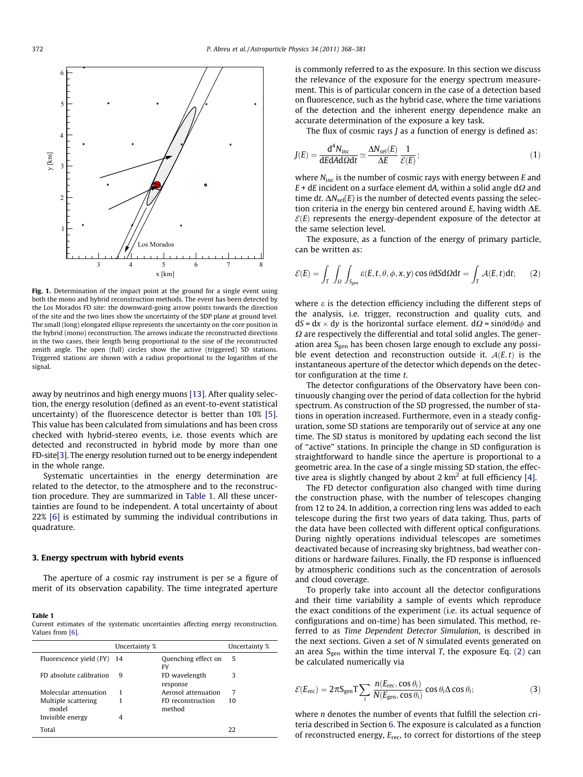<span id="page-6-0"></span>

Fig. 1. Determination of the impact point at the ground for a single event using both the mono and hybrid reconstruction methods. The event has been detected by the Los Morados FD site: the downward-going arrow points towards the direction of the site and the two lines show the uncertainty of the SDP plane at ground level. The small (long) elongated ellipse represents the uncertainty on the core position in the hybrid (mono) reconstruction. The arrows indicate the reconstructed directions in the two cases, their length being proportional to the sine of the reconstructed zenith angle. The open (full) circles show the active (triggered) SD stations. Triggered stations are shown with a radius proportional to the logarithm of the signal.

away by neutrinos and high energy muons [\[13\]](#page-14-0). After quality selection, the energy resolution (defined as an event-to-event statistical uncertainty) of the fluorescence detector is better than 10% [\[5\].](#page-14-0) This value has been calculated from simulations and has been cross checked with hybrid-stereo events, i.e. those events which are detected and reconstructed in hybrid mode by more than one FD-sit[e\[3\]](#page-14-0). The energy resolution turned out to be energy independent in the whole range.

Systematic uncertainties in the energy determination are related to the detector, to the atmosphere and to the reconstruction procedure. They are summarized in Table 1. All these uncertainties are found to be independent. A total uncertainty of about 22% [\[6\]](#page-14-0) is estimated by summing the individual contributions in quadrature.

#### 3. Energy spectrum with hybrid events

The aperture of a cosmic ray instrument is per se a figure of merit of its observation capability. The time integrated aperture

Table 1

Current estimates of the systematic uncertainties affecting energy reconstruction. Values from [\[6\]](#page-14-0).

|                              | Uncertainty % |                             | Uncertainty % |
|------------------------------|---------------|-----------------------------|---------------|
| Fluorescence yield (FY) 14   |               | Quenching effect on<br>FY   | 5             |
| FD absolute calibration      | q             | FD wavelength<br>response   | З             |
| Molecular attenuation        |               | Aerosol attenuation         | 7             |
| Multiple scattering<br>model |               | FD reconstruction<br>method | 10            |
| Invisible energy             |               |                             |               |
| Total                        |               |                             | 22            |

is commonly referred to as the exposure. In this section we discuss the relevance of the exposure for the energy spectrum measurement. This is of particular concern in the case of a detection based on fluorescence, such as the hybrid case, where the time variations of the detection and the inherent energy dependence make an accurate determination of the exposure a key task.

The flux of cosmic rays *J* as a function of energy is defined as:

$$
J(E) = \frac{d^4 N_{\text{inc}}}{dE dA d\Omega dt} \simeq \frac{\Delta N_{\text{sel}}(E)}{\Delta E} \frac{1}{\mathcal{E}(E)};
$$
\n(1)

where  $N_{\text{inc}}$  is the number of cosmic rays with energy between E and  $E + dE$  incident on a surface element dA, within a solid angle d $\Omega$  and time dt.  $\Delta N_{\rm sel}(E)$  is the number of detected events passing the selection criteria in the energy bin centered around  $E$ , having width  $\Delta E$ .  $\mathcal{E}(E)$  represents the energy-dependent exposure of the detector at the same selection level.

The exposure, as a function of the energy of primary particle, can be written as:

$$
\mathcal{E}(E) = \int_{T} \int_{\Omega} \int_{S_{gen}} \varepsilon(E, t, \theta, \phi, x, y) \cos \theta \, dS d\Omega dt = \int_{T} \mathcal{A}(E, t) dt; \qquad (2)
$$

where  $\varepsilon$  is the detection efficiency including the different steps of the analysis, i.e. trigger, reconstruction and quality cuts, and  $dS = dx \times dy$  is the horizontal surface element.  $d\Omega = \sin\theta d\theta d\phi$  and  $\Omega$  are respectively the differential and total solid angles. The generation area  $S_{\text{gen}}$  has been chosen large enough to exclude any possible event detection and reconstruction outside it.  $A(E, t)$  is the instantaneous aperture of the detector which depends on the detector configuration at the time  $t$ .

The detector configurations of the Observatory have been continuously changing over the period of data collection for the hybrid spectrum. As construction of the SD progressed, the number of stations in operation increased. Furthermore, even in a steady configuration, some SD stations are temporarily out of service at any one time. The SD status is monitored by updating each second the list of ''active" stations. In principle the change in SD configuration is straightforward to handle since the aperture is proportional to a geometric area. In the case of a single missing SD station, the effective area is slightly changed by about 2  $km^2$  at full efficiency [\[4\].](#page-14-0)

The FD detector configuration also changed with time during the construction phase, with the number of telescopes changing from 12 to 24. In addition, a correction ring lens was added to each telescope during the first two years of data taking. Thus, parts of the data have been collected with different optical configurations. During nightly operations individual telescopes are sometimes deactivated because of increasing sky brightness, bad weather conditions or hardware failures. Finally, the FD response is influenced by atmospheric conditions such as the concentration of aerosols and cloud coverage.

To properly take into account all the detector configurations and their time variability a sample of events which reproduce the exact conditions of the experiment (i.e. its actual sequence of configurations and on-time) has been simulated. This method, referred to as Time Dependent Detector Simulation, is described in the next sections. Given a set of N simulated events generated on an area S<sub>gen</sub> within the time interval T, the exposure Eq. (2) can be calculated numerically via

$$
\mathcal{E}(E_{\text{rec}}) = 2\pi S_{\text{gen}} T \sum_{i} \frac{n(E_{\text{rec}}, \cos \theta_{i})}{N(E_{\text{gen}}, \cos \theta_{i})} \cos \theta_{i} \Delta \cos \theta_{i};
$$
\n(3)

where n denotes the number of events that fulfill the selection criteria described in Section [6.](#page-10-0) The exposure is calculated as a function of reconstructed energy,  $E_{\text{rec}}$ , to correct for distortions of the steep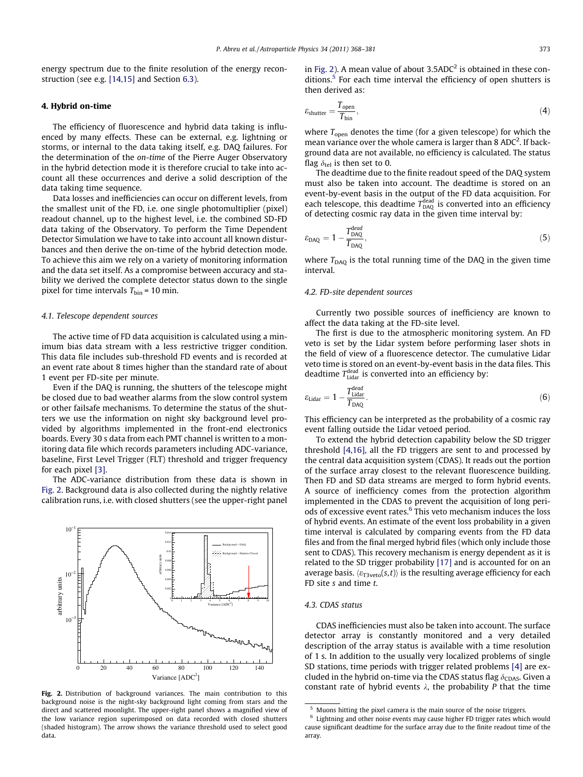<span id="page-7-0"></span>energy spectrum due to the finite resolution of the energy reconstruction (see e.g. [\[14,15\]](#page-14-0) and Section [6.3](#page-11-0)).

#### 4. Hybrid on-time

The efficiency of fluorescence and hybrid data taking is influenced by many effects. These can be external, e.g. lightning or storms, or internal to the data taking itself, e.g. DAQ failures. For the determination of the on-time of the Pierre Auger Observatory in the hybrid detection mode it is therefore crucial to take into account all these occurrences and derive a solid description of the data taking time sequence.

Data losses and inefficiencies can occur on different levels, from the smallest unit of the FD, i.e. one single photomultiplier (pixel) readout channel, up to the highest level, i.e. the combined SD-FD data taking of the Observatory. To perform the Time Dependent Detector Simulation we have to take into account all known disturbances and then derive the on-time of the hybrid detection mode. To achieve this aim we rely on a variety of monitoring information and the data set itself. As a compromise between accuracy and stability we derived the complete detector status down to the single pixel for time intervals  $T_{\text{bin}}$  = 10 min.

#### 4.1. Telescope dependent sources

−1 10

The active time of FD data acquisition is calculated using a minimum bias data stream with a less restrictive trigger condition. This data file includes sub-threshold FD events and is recorded at an event rate about 8 times higher than the standard rate of about 1 event per FD-site per minute.

Even if the DAQ is running, the shutters of the telescope might be closed due to bad weather alarms from the slow control system or other failsafe mechanisms. To determine the status of the shutters we use the information on night sky background level provided by algorithms implemented in the front-end electronics boards. Every 30 s data from each PMT channel is written to a monitoring data file which records parameters including ADC-variance, baseline, First Level Trigger (FLT) threshold and trigger frequency for each pixel [\[3\].](#page-14-0)

The ADC-variance distribution from these data is shown in Fig. 2. Background data is also collected during the nightly relative calibration runs, i.e. with closed shutters (see the upper-right panel

> 0.012 0.014

Background − DAQ



Fig. 2. Distribution of background variances. The main contribution to this background noise is the night-sky background light coming from stars and the direct and scattered moonlight. The upper-right panel shows a magnified view of the low variance region superimposed on data recorded with closed shutters (shaded histogram). The arrow shows the variance threshold used to select good data.

in Fig. 2). A mean value of about  $3.5$ ADC<sup>2</sup> is obtained in these conditions.<sup>5</sup> For each time interval the efficiency of open shutters is then derived as:

$$
\varepsilon_{\text{shutter}} = \frac{T_{\text{open}}}{T_{\text{bin}}},\tag{4}
$$

where  $T_{\text{open}}$  denotes the time (for a given telescope) for which the mean variance over the whole camera is larger than 8 ADC<sup>2</sup>. If background data are not available, no efficiency is calculated. The status flag  $\delta_{\text{tel}}$  is then set to 0.

The deadtime due to the finite readout speed of the DAQ system must also be taken into account. The deadtime is stored on an event-by-event basis in the output of the FD data acquisition. For each telescope, this deadtime  $T_{\text{DAQ}}^{\text{dead}}$  is converted into an efficiency of detecting cosmic ray data in the given time interval by:

$$
\varepsilon_{\text{DAQ}} = 1 - \frac{T_{\text{DAQ}}^{\text{dead}}}{T_{\text{DAQ}}},\tag{5}
$$

where  $T<sub>DAQ</sub>$  is the total running time of the DAQ in the given time interval.

#### 4.2. FD-site dependent sources

Currently two possible sources of inefficiency are known to affect the data taking at the FD-site level.

The first is due to the atmospheric monitoring system. An FD veto is set by the Lidar system before performing laser shots in the field of view of a fluorescence detector. The cumulative Lidar veto time is stored on an event-by-event basis in the data files. This deadtime  $T_{\text{Lidar}}^{\text{dead}}$  is converted into an efficiency by:

$$
\varepsilon_{\text{Lidar}} = 1 - \frac{T_{\text{Lidar}}^{\text{dead}}}{T_{\text{DAQ}}}.\tag{6}
$$

This efficiency can be interpreted as the probability of a cosmic ray event falling outside the Lidar vetoed period.

To extend the hybrid detection capability below the SD trigger threshold [\[4,16\],](#page-14-0) all the FD triggers are sent to and processed by the central data acquisition system (CDAS). It reads out the portion of the surface array closest to the relevant fluorescence building. Then FD and SD data streams are merged to form hybrid events. A source of inefficiency comes from the protection algorithm implemented in the CDAS to prevent the acquisition of long periods of excessive event rates.<sup>6</sup> This veto mechanism induces the loss of hybrid events. An estimate of the event loss probability in a given time interval is calculated by comparing events from the FD data files and from the final merged hybrid files (which only include those sent to CDAS). This recovery mechanism is energy dependent as it is related to the SD trigger probability [\[17\]](#page-14-0) and is accounted for on an average basis.  $\langle \varepsilon_{\text{T3veto}}(s,t) \rangle$  is the resulting average efficiency for each FD site  $s$  and time  $t$ .

#### 4.3. CDAS status

CDAS inefficiencies must also be taken into account. The surface detector array is constantly monitored and a very detailed description of the array status is available with a time resolution of 1 s. In addition to the usually very localized problems of single SD stations, time periods with trigger related problems [\[4\]](#page-14-0) are excluded in the hybrid on-time via the CDAS status flag  $\delta$ <sub>CDAS</sub>. Given a constant rate of hybrid events  $\lambda$ , the probability P that the time

<sup>5</sup> Muons hitting the pixel camera is the main source of the noise triggers.

 $^6\,$  Lightning and other noise events may cause higher FD trigger rates which would cause significant deadtime for the surface array due to the finite readout time of the array.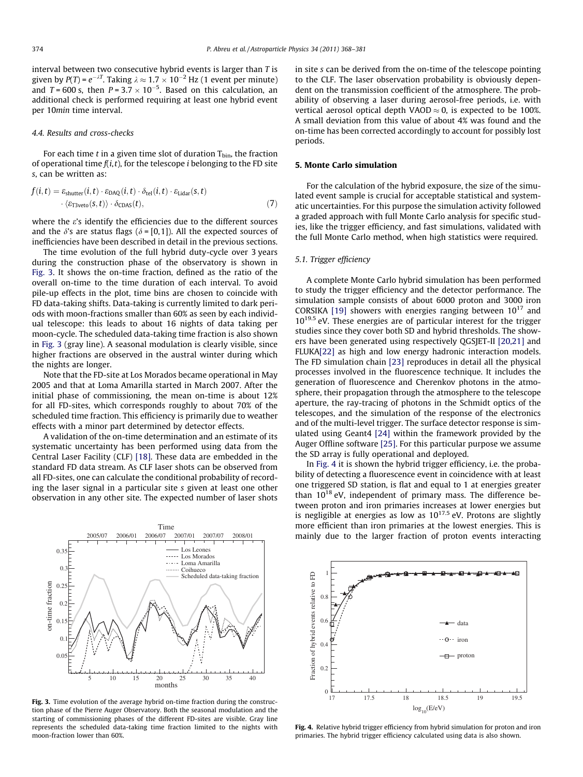<span id="page-8-0"></span>interval between two consecutive hybrid events is larger than T is given by P(T) =  $e^{-\lambda T}$ . Taking  $\lambda \approx 1.7 \times 10^{-2}$  Hz (1 event per minute) and T = 600 s, then  $P = 3.7 \times 10^{-5}$ . Based on this calculation, an additional check is performed requiring at least one hybrid event per 10min time interval.

#### 4.4. Results and cross-checks

For each time  $t$  in a given time slot of duration  $T_{\text{bin}}$ , the fraction of operational time  $f(i, t)$ , for the telescope *i* belonging to the FD site s, can be written as:

$$
f(i,t) = \varepsilon_{\text{shutter}}(i,t) \cdot \varepsilon_{\text{DAQ}}(i,t) \cdot \delta_{\text{tel}}(i,t) \cdot \varepsilon_{\text{Lidar}}(s,t) \cdot \langle \varepsilon_{\text{T3veto}}(s,t) \rangle \cdot \delta_{\text{CDAS}}(t),
$$
\n(7)

where the  $\varepsilon$ 's identify the efficiencies due to the different sources and the  $\delta$ 's are status flags ( $\delta$  = [0,1]). All the expected sources of inefficiencies have been described in detail in the previous sections.

The time evolution of the full hybrid duty-cycle over 3 years during the construction phase of the observatory is shown in Fig. 3. It shows the on-time fraction, defined as the ratio of the overall on-time to the time duration of each interval. To avoid pile-up effects in the plot, time bins are chosen to coincide with FD data-taking shifts. Data-taking is currently limited to dark periods with moon-fractions smaller than 60% as seen by each individual telescope: this leads to about 16 nights of data taking per moon-cycle. The scheduled data-taking time fraction is also shown in Fig. 3 (gray line). A seasonal modulation is clearly visible, since higher fractions are observed in the austral winter during which the nights are longer.

Note that the FD-site at Los Morados became operational in May 2005 and that at Loma Amarilla started in March 2007. After the initial phase of commissioning, the mean on-time is about 12% for all FD-sites, which corresponds roughly to about 70% of the scheduled time fraction. This efficiency is primarily due to weather effects with a minor part determined by detector effects.

A validation of the on-time determination and an estimate of its systematic uncertainty has been performed using data from the Central Laser Facility (CLF) [\[18\].](#page-14-0) These data are embedded in the standard FD data stream. As CLF laser shots can be observed from all FD-sites, one can calculate the conditional probability of recording the laser signal in a particular site s given at least one other observation in any other site. The expected number of laser shots



Fig. 3. Time evolution of the average hybrid on-time fraction during the construction phase of the Pierre Auger Observatory. Both the seasonal modulation and the starting of commissioning phases of the different FD-sites are visible. Gray line represents the scheduled data-taking time fraction limited to the nights with moon-fraction lower than 60%.

in site s can be derived from the on-time of the telescope pointing to the CLF. The laser observation probability is obviously dependent on the transmission coefficient of the atmosphere. The probability of observing a laser during aerosol-free periods, i.e. with vertical aerosol optical depth VAOD  $\approx$  0, is expected to be 100%. A small deviation from this value of about 4% was found and the on-time has been corrected accordingly to account for possibly lost periods.

#### 5. Monte Carlo simulation

For the calculation of the hybrid exposure, the size of the simulated event sample is crucial for acceptable statistical and systematic uncertainties. For this purpose the simulation activity followed a graded approach with full Monte Carlo analysis for specific studies, like the trigger efficiency, and fast simulations, validated with the full Monte Carlo method, when high statistics were required.

#### 5.1. Trigger efficiency

A complete Monte Carlo hybrid simulation has been performed to study the trigger efficiency and the detector performance. The simulation sample consists of about 6000 proton and 3000 iron CORSIKA [\[19\]](#page-14-0) showers with energies ranging between  $10^{17}$  and  $10^{19.5}$  eV. These energies are of particular interest for the trigger studies since they cover both SD and hybrid thresholds. The showers have been generated using respectively QGSJET-II [\[20,21\]](#page-14-0) and FLUK[A\[22\]](#page-14-0) as high and low energy hadronic interaction models. The FD simulation chain [\[23\]](#page-14-0) reproduces in detail all the physical processes involved in the fluorescence technique. It includes the generation of fluorescence and Cherenkov photons in the atmosphere, their propagation through the atmosphere to the telescope aperture, the ray-tracing of photons in the Schmidt optics of the telescopes, and the simulation of the response of the electronics and of the multi-level trigger. The surface detector response is simulated using Geant4 [\[24\]](#page-14-0) within the framework provided by the Auger Offline software [\[25\]](#page-14-0). For this particular purpose we assume the SD array is fully operational and deployed.

In Fig. 4 it is shown the hybrid trigger efficiency, i.e. the probability of detecting a fluorescence event in coincidence with at least one triggered SD station, is flat and equal to 1 at energies greater than  $10^{18}$  eV, independent of primary mass. The difference between proton and iron primaries increases at lower energies but is negligible at energies as low as  $10^{17.5}$  eV. Protons are slightly more efficient than iron primaries at the lowest energies. This is mainly due to the larger fraction of proton events interacting



Fig. 4. Relative hybrid trigger efficiency from hybrid simulation for proton and iron primaries. The hybrid trigger efficiency calculated using data is also shown.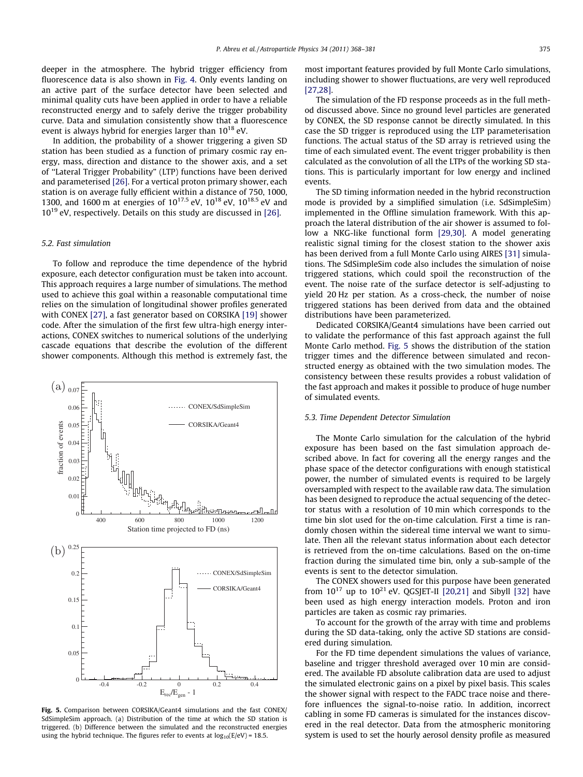deeper in the atmosphere. The hybrid trigger efficiency from fluorescence data is also shown in [Fig. 4.](#page-8-0) Only events landing on an active part of the surface detector have been selected and minimal quality cuts have been applied in order to have a reliable reconstructed energy and to safely derive the trigger probability curve. Data and simulation consistently show that a fluorescence event is always hybrid for energies larger than  $10^{18}$  eV.

In addition, the probability of a shower triggering a given SD station has been studied as a function of primary cosmic ray energy, mass, direction and distance to the shower axis, and a set of ''Lateral Trigger Probability" (LTP) functions have been derived and parameterised [\[26\]](#page-14-0). For a vertical proton primary shower, each station is on average fully efficient within a distance of 750, 1000, 1300, and 1600 m at energies of 1017.5 eV, 10<sup>18</sup> eV, 1018.5 eV and 10<sup>19</sup> eV, respectively. Details on this study are discussed in [\[26\]](#page-14-0).

#### 5.2. Fast simulation

To follow and reproduce the time dependence of the hybrid exposure, each detector configuration must be taken into account. This approach requires a large number of simulations. The method used to achieve this goal within a reasonable computational time relies on the simulation of longitudinal shower profiles generated with CONEX [\[27\],](#page-14-0) a fast generator based on CORSIKA [\[19\]](#page-14-0) shower code. After the simulation of the first few ultra-high energy interactions, CONEX switches to numerical solutions of the underlying cascade equations that describe the evolution of the different shower components. Although this method is extremely fast, the



Fig. 5. Comparison between CORSIKA/Geant4 simulations and the fast CONEX/ SdSimpleSim approach. (a) Distribution of the time at which the SD station is triggered. (b) Difference between the simulated and the reconstructed energies using the hybrid technique. The figures refer to events at  $log_{10}(E/eV) = 18.5$ .

most important features provided by full Monte Carlo simulations, including shower to shower fluctuations, are very well reproduced [\[27,28\]](#page-14-0).

The simulation of the FD response proceeds as in the full method discussed above. Since no ground level particles are generated by CONEX, the SD response cannot be directly simulated. In this case the SD trigger is reproduced using the LTP parameterisation functions. The actual status of the SD array is retrieved using the time of each simulated event. The event trigger probability is then calculated as the convolution of all the LTPs of the working SD stations. This is particularly important for low energy and inclined events.

The SD timing information needed in the hybrid reconstruction mode is provided by a simplified simulation (i.e. SdSimpleSim) implemented in the Offline simulation framework. With this approach the lateral distribution of the air shower is assumed to follow a NKG-like functional form [\[29,30\].](#page-15-0) A model generating realistic signal timing for the closest station to the shower axis has been derived from a full Monte Carlo using AIRES [\[31\]](#page-15-0) simulations. The SdSimpleSim code also includes the simulation of noise triggered stations, which could spoil the reconstruction of the event. The noise rate of the surface detector is self-adjusting to yield 20 Hz per station. As a cross-check, the number of noise triggered stations has been derived from data and the obtained distributions have been parameterized.

Dedicated CORSIKA/Geant4 simulations have been carried out to validate the performance of this fast approach against the full Monte Carlo method. Fig. 5 shows the distribution of the station trigger times and the difference between simulated and reconstructed energy as obtained with the two simulation modes. The consistency between these results provides a robust validation of the fast approach and makes it possible to produce of huge number of simulated events.

#### 5.3. Time Dependent Detector Simulation

The Monte Carlo simulation for the calculation of the hybrid exposure has been based on the fast simulation approach described above. In fact for covering all the energy ranges and the phase space of the detector configurations with enough statistical power, the number of simulated events is required to be largely oversampled with respect to the available raw data. The simulation has been designed to reproduce the actual sequencing of the detector status with a resolution of 10 min which corresponds to the time bin slot used for the on-time calculation. First a time is randomly chosen within the sidereal time interval we want to simulate. Then all the relevant status information about each detector is retrieved from the on-time calculations. Based on the on-time fraction during the simulated time bin, only a sub-sample of the events is sent to the detector simulation.

The CONEX showers used for this purpose have been generated from  $10^{17}$  up to  $10^{21}$  eV. QGSJET-II [\[20,21\]](#page-14-0) and Sibyll [\[32\]](#page-15-0) have been used as high energy interaction models. Proton and iron particles are taken as cosmic ray primaries.

To account for the growth of the array with time and problems during the SD data-taking, only the active SD stations are considered during simulation.

For the FD time dependent simulations the values of variance, baseline and trigger threshold averaged over 10 min are considered. The available FD absolute calibration data are used to adjust the simulated electronic gains on a pixel by pixel basis. This scales the shower signal with respect to the FADC trace noise and therefore influences the signal-to-noise ratio. In addition, incorrect cabling in some FD cameras is simulated for the instances discovered in the real detector. Data from the atmospheric monitoring system is used to set the hourly aerosol density profile as measured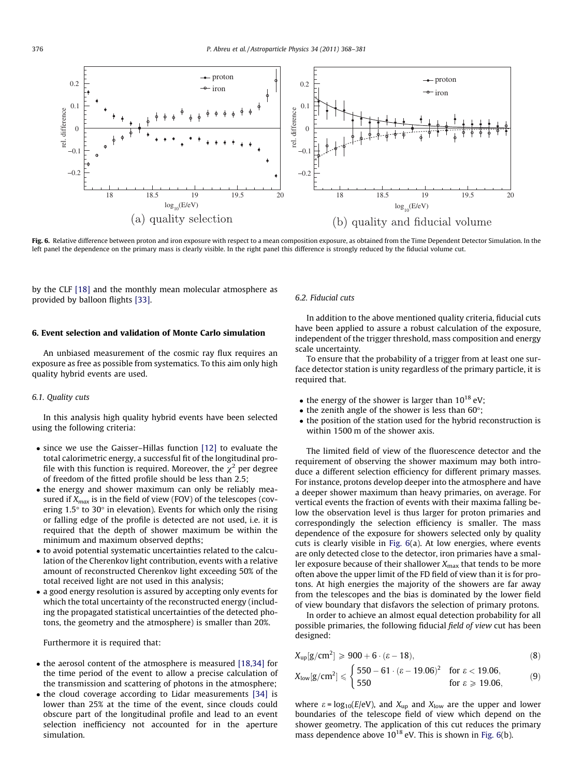<span id="page-10-0"></span>

Fig. 6. Relative difference between proton and iron exposure with respect to a mean composition exposure, as obtained from the Time Dependent Detector Simulation. In the left panel the dependence on the primary mass is clearly visible. In the right panel this difference is strongly reduced by the fiducial volume cut.

by the CLF [\[18\]](#page-14-0) and the monthly mean molecular atmosphere as provided by balloon flights [\[33\]](#page-15-0).

#### 6. Event selection and validation of Monte Carlo simulation

An unbiased measurement of the cosmic ray flux requires an exposure as free as possible from systematics. To this aim only high quality hybrid events are used.

#### 6.1. Quality cuts

In this analysis high quality hybrid events have been selected using the following criteria:

- since we use the Gaisser-Hillas function [\[12\]](#page-14-0) to evaluate the total calorimetric energy, a successful fit of the longitudinal profile with this function is required. Moreover, the  $\chi^2$  per degree of freedom of the fitted profile should be less than 2.5;
- the energy and shower maximum can only be reliably measured if  $X_{max}$  is in the field of view (FOV) of the telescopes (covering  $1.5^{\circ}$  to  $30^{\circ}$  in elevation). Events for which only the rising or falling edge of the profile is detected are not used, i.e. it is required that the depth of shower maximum be within the minimum and maximum observed depths;
- to avoid potential systematic uncertainties related to the calculation of the Cherenkov light contribution, events with a relative amount of reconstructed Cherenkov light exceeding 50% of the total received light are not used in this analysis;
- a good energy resolution is assured by accepting only events for which the total uncertainty of the reconstructed energy (including the propagated statistical uncertainties of the detected photons, the geometry and the atmosphere) is smaller than 20%.

Furthermore it is required that:

- the aerosol content of the atmosphere is measured [\[18,34\]](#page-14-0) for the time period of the event to allow a precise calculation of the transmission and scattering of photons in the atmosphere;
- the cloud coverage according to Lidar measurements [\[34\]](#page-15-0) is lower than 25% at the time of the event, since clouds could obscure part of the longitudinal profile and lead to an event selection inefficiency not accounted for in the aperture simulation.

## 6.2. Fiducial cuts

In addition to the above mentioned quality criteria, fiducial cuts have been applied to assure a robust calculation of the exposure, independent of the trigger threshold, mass composition and energy scale uncertainty.

To ensure that the probability of a trigger from at least one surface detector station is unity regardless of the primary particle, it is required that.

- the energy of the shower is larger than  $10^{18}$  eV;
- the zenith angle of the shower is less than  $60^\circ$ ;
- the position of the station used for the hybrid reconstruction is within 1500 m of the shower axis.

The limited field of view of the fluorescence detector and the requirement of observing the shower maximum may both introduce a different selection efficiency for different primary masses. For instance, protons develop deeper into the atmosphere and have a deeper shower maximum than heavy primaries, on average. For vertical events the fraction of events with their maxima falling below the observation level is thus larger for proton primaries and correspondingly the selection efficiency is smaller. The mass dependence of the exposure for showers selected only by quality cuts is clearly visible in Fig. 6(a). At low energies, where events are only detected close to the detector, iron primaries have a smaller exposure because of their shallower  $X_{\text{max}}$  that tends to be more often above the upper limit of the FD field of view than it is for protons. At high energies the majority of the showers are far away from the telescopes and the bias is dominated by the lower field of view boundary that disfavors the selection of primary protons.

In order to achieve an almost equal detection probability for all possible primaries, the following fiducial field of view cut has been designed:

$$
X_{\text{up}}[g/cm^2] \geqslant 900 + 6 \cdot (\epsilon - 18),\tag{8}
$$

$$
X_{\text{low}}[g/cm^2] \leq \begin{cases} 550 - 61 \cdot (\epsilon - 19.06)^2 & \text{for } \epsilon < 19.06, \\ 550 & \text{for } \epsilon \geqslant 19.06, \end{cases}
$$
(9)

where  $\varepsilon = \log_{10}(E/\text{eV})$ , and  $X_{\text{up}}$  and  $X_{\text{low}}$  are the upper and lower boundaries of the telescope field of view which depend on the shower geometry. The application of this cut reduces the primary mass dependence above  $10^{18}$  eV. This is shown in Fig. 6(b).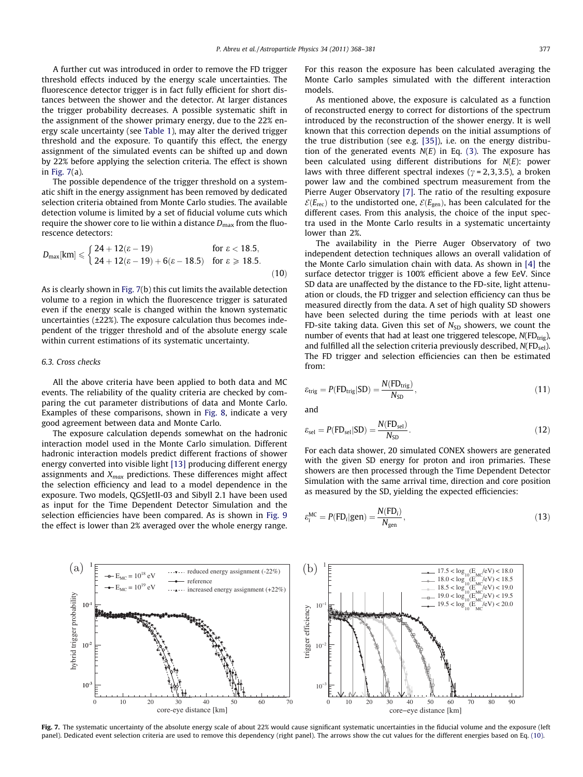<span id="page-11-0"></span>A further cut was introduced in order to remove the FD trigger threshold effects induced by the energy scale uncertainties. The fluorescence detector trigger is in fact fully efficient for short distances between the shower and the detector. At larger distances the trigger probability decreases. A possible systematic shift in the assignment of the shower primary energy, due to the 22% energy scale uncertainty (see [Table 1](#page-6-0)), may alter the derived trigger threshold and the exposure. To quantify this effect, the energy assignment of the simulated events can be shifted up and down by 22% before applying the selection criteria. The effect is shown in Fig. 7(a).

The possible dependence of the trigger threshold on a systematic shift in the energy assignment has been removed by dedicated selection criteria obtained from Monte Carlo studies. The available detection volume is limited by a set of fiducial volume cuts which require the shower core to lie within a distance  $D_{\text{max}}$  from the fluorescence detectors:

$$
D_{\max}[\text{km}] \leq \begin{cases} 24 + 12(\epsilon - 19) & \text{for } \epsilon < 18.5, \\ 24 + 12(\epsilon - 19) + 6(\epsilon - 18.5) & \text{for } \epsilon \geq 18.5. \end{cases} \tag{10}
$$

As is clearly shown in Fig. 7(b) this cut limits the available detection volume to a region in which the fluorescence trigger is saturated even if the energy scale is changed within the known systematic uncertainties (±22%). The exposure calculation thus becomes independent of the trigger threshold and of the absolute energy scale within current estimations of its systematic uncertainty.

#### 6.3. Cross checks

All the above criteria have been applied to both data and MC events. The reliability of the quality criteria are checked by comparing the cut parameter distributions of data and Monte Carlo. Examples of these comparisons, shown in [Fig. 8](#page-12-0), indicate a very good agreement between data and Monte Carlo.

The exposure calculation depends somewhat on the hadronic interaction model used in the Monte Carlo simulation. Different hadronic interaction models predict different fractions of shower energy converted into visible light [\[13\]](#page-14-0) producing different energy assignments and  $X_{max}$  predictions. These differences might affect the selection efficiency and lead to a model dependence in the exposure. Two models, QGSJetII-03 and Sibyll 2.1 have been used as input for the Time Dependent Detector Simulation and the selection efficiencies have been compared. As is shown in [Fig. 9](#page-13-0) the effect is lower than 2% averaged over the whole energy range. For this reason the exposure has been calculated averaging the Monte Carlo samples simulated with the different interaction models.

As mentioned above, the exposure is calculated as a function of reconstructed energy to correct for distortions of the spectrum introduced by the reconstruction of the shower energy. It is well known that this correction depends on the initial assumptions of the true distribution (see e.g. [\[35\]\)](#page-15-0), i.e. on the energy distribution of the generated events  $N(E)$  in Eq. [\(3\)](#page-6-0). The exposure has been calculated using different distributions for  $N(E)$ : power laws with three different spectral indexes ( $\gamma$  = 2,3,3.5), a broken power law and the combined spectrum measurement from the Pierre Auger Observatory [\[7\]](#page-14-0). The ratio of the resulting exposure  $\mathcal{E}(E_{\text{rec}})$  to the undistorted one,  $\mathcal{E}(E_{\text{gen}})$ , has been calculated for the different cases. From this analysis, the choice of the input spectra used in the Monte Carlo results in a systematic uncertainty lower than 2%.

The availability in the Pierre Auger Observatory of two independent detection techniques allows an overall validation of the Monte Carlo simulation chain with data. As shown in [\[4\]](#page-14-0) the surface detector trigger is 100% efficient above a few EeV. Since SD data are unaffected by the distance to the FD-site, light attenuation or clouds, the FD trigger and selection efficiency can thus be measured directly from the data. A set of high quality SD showers have been selected during the time periods with at least one FD-site taking data. Given this set of  $N_{SD}$  showers, we count the number of events that had at least one triggered telescope,  $N(FD_{\text{trig}})$ , and fulfilled all the selection criteria previously described,  $N(FD_{\text{sel}})$ . The FD trigger and selection efficiencies can then be estimated from:

$$
\varepsilon_{\text{trig}} = P(\text{FD}_{\text{trig}} | \text{SD}) = \frac{N(\text{FD}_{\text{trig}})}{N_{\text{SD}}},\tag{11}
$$

and

$$
\varepsilon_{\rm sel} = P(\rm FD_{\rm sel} | SD) = \frac{N(\rm FD_{\rm sel})}{N_{\rm SD}}.\tag{12}
$$

For each data shower, 20 simulated CONEX showers are generated with the given SD energy for proton and iron primaries. These showers are then processed through the Time Dependent Detector Simulation with the same arrival time, direction and core position as measured by the SD, yielding the expected efficiencies:

$$
\varepsilon_i^{MC} = P(\text{FD}_i | \text{gen}) = \frac{N(\text{FD}_i)}{N_{\text{gen}}},\tag{13}
$$



Fig. 7. The systematic uncertainty of the absolute energy scale of about 22% would cause significant systematic uncertainties in the fiducial volume and the exposure (left panel). Dedicated event selection criteria are used to remove this dependency (right panel). The arrows show the cut values for the different energies based on Eq. (10).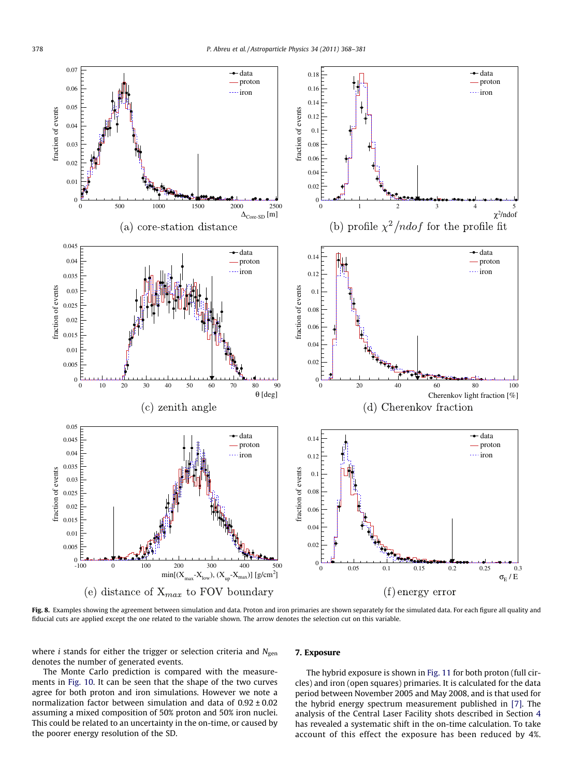<span id="page-12-0"></span>

Fig. 8. Examples showing the agreement between simulation and data. Proton and iron primaries are shown separately for the simulated data. For each figure all quality and fiducial cuts are applied except the one related to the variable shown. The arrow denotes the selection cut on this variable.

where *i* stands for either the trigger or selection criteria and  $N<sub>gen</sub>$ denotes the number of generated events.

#### 7. Exposure

The Monte Carlo prediction is compared with the measurements in [Fig. 10](#page-13-0). It can be seen that the shape of the two curves agree for both proton and iron simulations. However we note a normalization factor between simulation and data of  $0.92 \pm 0.02$ assuming a mixed composition of 50% proton and 50% iron nuclei. This could be related to an uncertainty in the on-time, or caused by the poorer energy resolution of the SD.

The hybrid exposure is shown in [Fig. 11](#page-13-0) for both proton (full circles) and iron (open squares) primaries. It is calculated for the data period between November 2005 and May 2008, and is that used for the hybrid energy spectrum measurement published in [\[7\]](#page-14-0). The analysis of the Central Laser Facility shots described in Section [4](#page-7-0) has revealed a systematic shift in the on-time calculation. To take account of this effect the exposure has been reduced by 4%.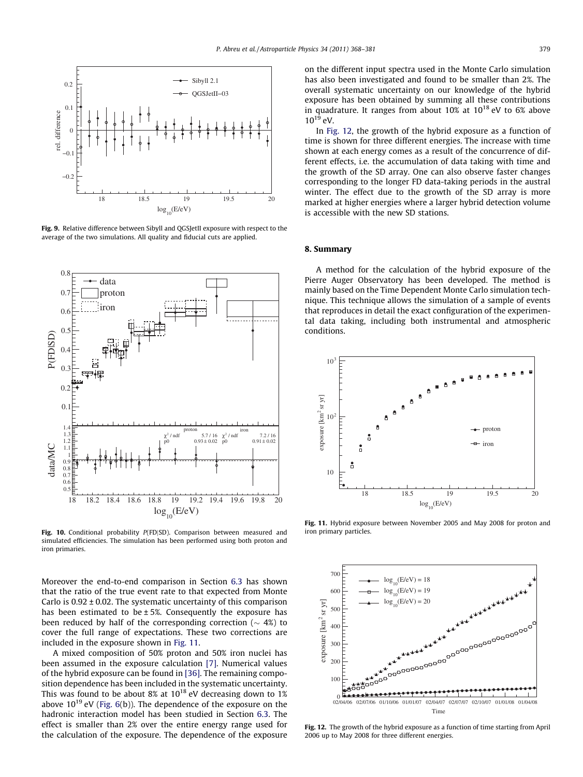<span id="page-13-0"></span>

Fig. 9. Relative difference between Sibyll and QGSJetII exposure with respect to the average of the two simulations. All quality and fiducial cuts are applied.



Fig. 10. Conditional probability P(FD|SD). Comparison between measured and simulated efficiencies. The simulation has been performed using both proton and iron primaries.

Moreover the end-to-end comparison in Section [6.3](#page-11-0) has shown that the ratio of the true event rate to that expected from Monte Carlo is  $0.92 \pm 0.02$ . The systematic uncertainty of this comparison has been estimated to be  $\pm$  5%. Consequently the exposure has been reduced by half of the corresponding correction ( $\sim$  4%) to cover the full range of expectations. These two corrections are included in the exposure shown in Fig. 11.

A mixed composition of 50% proton and 50% iron nuclei has been assumed in the exposure calculation [\[7\]](#page-14-0). Numerical values of the hybrid exposure can be found in [\[36\]](#page-15-0). The remaining composition dependence has been included in the systematic uncertainty. This was found to be about 8% at  $10^{18}$  eV decreasing down to 1% above  $10^{19}$  eV ([Fig. 6\(](#page-10-0)b)). The dependence of the exposure on the hadronic interaction model has been studied in Section [6.3](#page-11-0). The effect is smaller than 2% over the entire energy range used for the calculation of the exposure. The dependence of the exposure on the different input spectra used in the Monte Carlo simulation has also been investigated and found to be smaller than 2%. The overall systematic uncertainty on our knowledge of the hybrid exposure has been obtained by summing all these contributions in quadrature. It ranges from about 10% at 10<sup>18</sup> eV to 6% above  $10^{19}$  eV.

In Fig. 12, the growth of the hybrid exposure as a function of time is shown for three different energies. The increase with time shown at each energy comes as a result of the concurrence of different effects, i.e. the accumulation of data taking with time and the growth of the SD array. One can also observe faster changes corresponding to the longer FD data-taking periods in the austral winter. The effect due to the growth of the SD array is more marked at higher energies where a larger hybrid detection volume is accessible with the new SD stations.

#### 8. Summary

A method for the calculation of the hybrid exposure of the Pierre Auger Observatory has been developed. The method is mainly based on the Time Dependent Monte Carlo simulation technique. This technique allows the simulation of a sample of events that reproduces in detail the exact configuration of the experimental data taking, including both instrumental and atmospheric conditions.



Fig. 11. Hybrid exposure between November 2005 and May 2008 for proton and iron primary particles.



Fig. 12. The growth of the hybrid exposure as a function of time starting from April 2006 up to May 2008 for three different energies.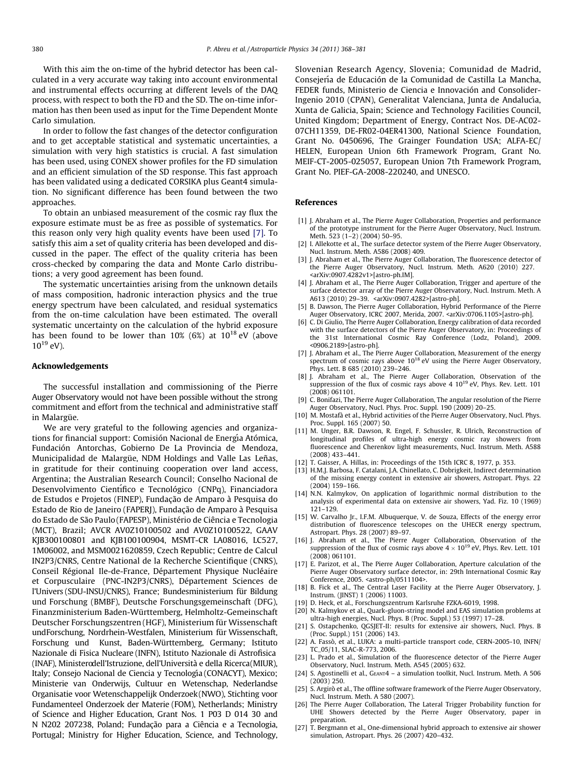<span id="page-14-0"></span>With this aim the on-time of the hybrid detector has been calculated in a very accurate way taking into account environmental and instrumental effects occurring at different levels of the DAQ process, with respect to both the FD and the SD. The on-time information has then been used as input for the Time Dependent Monte Carlo simulation.

In order to follow the fast changes of the detector configuration and to get acceptable statistical and systematic uncertainties, a simulation with very high statistics is crucial. A fast simulation has been used, using CONEX shower profiles for the FD simulation and an efficient simulation of the SD response. This fast approach has been validated using a dedicated CORSIKA plus Geant4 simulation. No significant difference has been found between the two approaches.

To obtain an unbiased measurement of the cosmic ray flux the exposure estimate must be as free as possible of systematics. For this reason only very high quality events have been used [7]. To satisfy this aim a set of quality criteria has been developed and discussed in the paper. The effect of the quality criteria has been cross-checked by comparing the data and Monte Carlo distributions; a very good agreement has been found.

The systematic uncertainties arising from the unknown details of mass composition, hadronic interaction physics and the true energy spectrum have been calculated, and residual systematics from the on-time calculation have been estimated. The overall systematic uncertainty on the calculation of the hybrid exposure has been found to be lower than  $10\%$  (6%) at  $10^{18}$  eV (above  $10^{19}$  eV).

#### Acknowledgements

The successful installation and commissioning of the Pierre Auger Observatory would not have been possible without the strong commitment and effort from the technical and administrative staff in Malargüe.

We are very grateful to the following agencies and organizations for financial support: Comisión Nacional de Energía Atómica, Fundación Antorchas, Gobierno De La Provincia de Mendoza, Municipalidad de Malargüe, NDM Holdings and Valle Las Leñas, in gratitude for their continuing cooperation over land access, Argentina; the Australian Research Council; Conselho Nacional de Desenvolvimento Científico e Tecnológico (CNPq), Financiadora de Estudos e Projetos (FINEP), Fundação de Amparo à Pesquisa do Estado de Rio de Janeiro (FAPERJ), Fundação de Amparo à Pesquisa do Estado de São Paulo (FAPESP), Ministério de Ciência e Tecnologia (MCT), Brazil; AVCR AV0Z10100502 and AV0Z10100522, GAAV KJB300100801 and KJB100100904, MSMT-CR LA08016, LC527, 1M06002, and MSM0021620859, Czech Republic; Centre de Calcul IN2P3/CNRS, Centre National de la Recherche Scientifique (CNRS), Conseil Régional Ile-de-France, Département Physique Nucléaire et Corpusculaire (PNC-IN2P3/CNRS), Département Sciences de l'Univers (SDU-INSU/CNRS), France; Bundesministerium für Bildung und Forschung (BMBF), Deutsche Forschungsgemeinschaft (DFG), Finanzministerium Baden-Württemberg, Helmholtz-Gemeinschaft Deutscher Forschungszentren (HGF), Ministerium für Wissenschaft undForschung, Nordrhein-Westfalen, Ministerium für Wissenschaft, Forschung und Kunst, Baden-Württemberg, Germany; Istituto Nazionale di Fisica Nucleare (INFN), Istituto Nazionale di Astrofisica (INAF), Ministerodell'Istruzione, dell'Università e della Ricerca(MIUR), Italy; Consejo Nacional de Ciencia y Tecnología (CONACYT), Mexico; Ministerie van Onderwijs, Cultuur en Wetenschap, Nederlandse Organisatie voor Wetenschappelijk Onderzoek (NWO), Stichting voor Fundamenteel Onderzoek der Materie (FOM), Netherlands; Ministry of Science and Higher Education, Grant Nos. 1 P03 D 014 30 and N N202 207238, Poland; Fundação para a Ciência e a Tecnologia, Portugal; Ministry for Higher Education, Science, and Technology, Slovenian Research Agency, Slovenia; Comunidad de Madrid, Consejería de Educación de la Comunidad de Castilla La Mancha, FEDER funds, Ministerio de Ciencia e Innovación and Consolider-Ingenio 2010 (CPAN), Generalitat Valenciana, Junta de Andalucía, Xunta de Galicia, Spain; Science and Technology Facilities Council, United Kingdom; Department of Energy, Contract Nos. DE-AC02- 07CH11359, DE-FR02-04ER41300, National Science Foundation, Grant No. 0450696, The Grainger Foundation USA; ALFA-EC/ HELEN, European Union 6th Framework Program, Grant No. MEIF-CT-2005-025057, European Union 7th Framework Program, Grant No. PIEF-GA-2008-220240, and UNESCO.

#### References

- [1] J. Abraham et al., The Pierre Auger Collaboration, Properties and performance of the prototype instrument for the Pierre Auger Observatory, Nucl. Instrum. Meth. 523 (1–2) (2004) 50–95.
- I. Allekotte et al., The surface detector system of the Pierre Auger Observatory, Nucl. Instrum. Meth. A586 (2008) 409.
- [3] J. Abraham et al., The Pierre Auger Collaboration, The fluorescence detector of the Pierre Auger Observatory, Nucl. Instrum. Meth. A620 (2010) 227. <arXiv:0907.4282v1>[astro-ph.IM].
- [4] J. Abraham et al., The Pierre Auger Collaboration, Trigger and aperture of the surface detector array of the Pierre Auger Observatory, Nucl. Instrum. Meth. A A613 (2010) 29–39. <arXiv:0907.4282>[astro-ph].
- [5] B. Dawson, The Pierre Auger Collaboration, Hybrid Performance of the Pierre Auger Observatory, ICRC 2007, Merida, 2007. <arXiv:0706.1105>[astro-ph].
- [6] C. Di Giulio, The Pierre Auger Collaboration, Energy calibration of data recorded with the surface detectors of the Pierre Auger Observatory, in: Proceedings of the 31st International Cosmic Ray Conference (Lodz, Poland), 2009. <0906.2189>[astro-ph].
- [7] J. Abraham et al., The Pierre Auger Collaboration, Measurement of the energy spectrum of cosmic rays above 10<sup>18</sup> eV using the Pierre Auger Observatory, Phys. Lett. B 685 (2010) 239–246.
- [8] J. Abraham et al., The Pierre Auger Collaboration, Observation of the suppression of the flux of cosmic rays above 4 10<sup>19</sup> eV, Phys. Rev. Lett. 101 (2008) 061101.
- [9] C. Bonifazi, The Pierre Auger Collaboration, The angular resolution of the Pierre Auger Observatory, Nucl. Phys. Proc. Suppl. 190 (2009) 20–25.
- [10] M. Mostafà et al., Hybrid activities of the Pierre Auger Observatory, Nucl. Phys. Proc. Suppl. 165 (2007) 50.
- [11] M. Unger, B.R. Dawson, R. Engel, F. Schussler, R. Ulrich, Reconstruction of longitudinal profiles of ultra-high energy cosmic ray showers from fluorescence and Cherenkov light measurements, Nucl. Instrum. Meth. A588 (2008) 433–441.
- T. Gaisser, A. Hillas, in: Proceedings of the 15th ICRC 8, 1977, p. 353.
- [13] H.M.J. Barbosa, F. Catalani, J.A. Chinellato, C. Dobrigkeit, Indirect determination of the missing energy content in extensive air showers, Astropart. Phys. 22 (2004) 159–166.
- [14] N.N. Kalmykov, On application of logarithmic normal distribution to the analysis of experimental data on extensive air showers, Yad. Fiz. 10 (1969) 121–129.
- [15] W. Carvalho Jr., I.F.M. Albuquerque, V. de Souza, Effects of the energy error distribution of fluorescence telescopes on the UHECR energy spectrum, Astropart. Phys. 28 (2007) 89–97.
- [16] J. Abraham et al., The Pierre Auger Collaboration, Observation of the suppression of the flux of cosmic rays above  $4 \times 10^{19}$  eV, Phys. Rev. Lett. 101 (2008) 061101.
- [17] E. Parizot, et al., The Pierre Auger Collaboration, Aperture calculation of the Pierre Auger Observatory surface detector, in: 29th International Cosmic Ray Conference, 2005. <astro-ph/0511104>
- [18] B. Fick et al., The Central Laser Facility at the Pierre Auger Observatory, J. Instrum. (JINST) 1 (2006) 11003.
- [19] D. Heck, et al., Forschungszentrum Karlsruhe FZKA-6019, 1998.
- [20] N. Kalmykov et al., Quark-gluon-string model and EAS simulation problems at ultra-high energies, Nucl. Phys. B (Proc. Suppl.) 53 (1997) 17–28.
- [21] S. Ostapchenko, QGSJET-II: results for extensive air showers, Nucl. Phys. B (Proc. Suppl.) 151 (2006) 143.
- [22] A. Fassò, et al., LUKA: a multi-particle transport code, CERN-2005-10, INFN/ TC\_05/11, SLAC-R-773, 2006.
- [23] L. Prado et al., Simulation of the fluorescence detector of the Pierre Auger Observatory, Nucl. Instrum. Meth. A545 (2005) 632.
- [24] S. Agostinelli et al., GEANT4 a simulation toolkit, Nucl. Instrum. Meth. A 506 (2003) 250.
- [25] S. Argirò et al., The offline software framework of the Pierre Auger Observatory, Nucl. Instrum. Meth. A 580 (2007).
- [26] The Pierre Auger Collaboration, The Lateral Trigger Probability function for UHE Showers detected by the Pierre Auger Observatory, paper in preparation.
- [27] T. Bergmann et al., One-dimensional hybrid approach to extensive air shower simulation, Astropart. Phys. 26 (2007) 420–432.